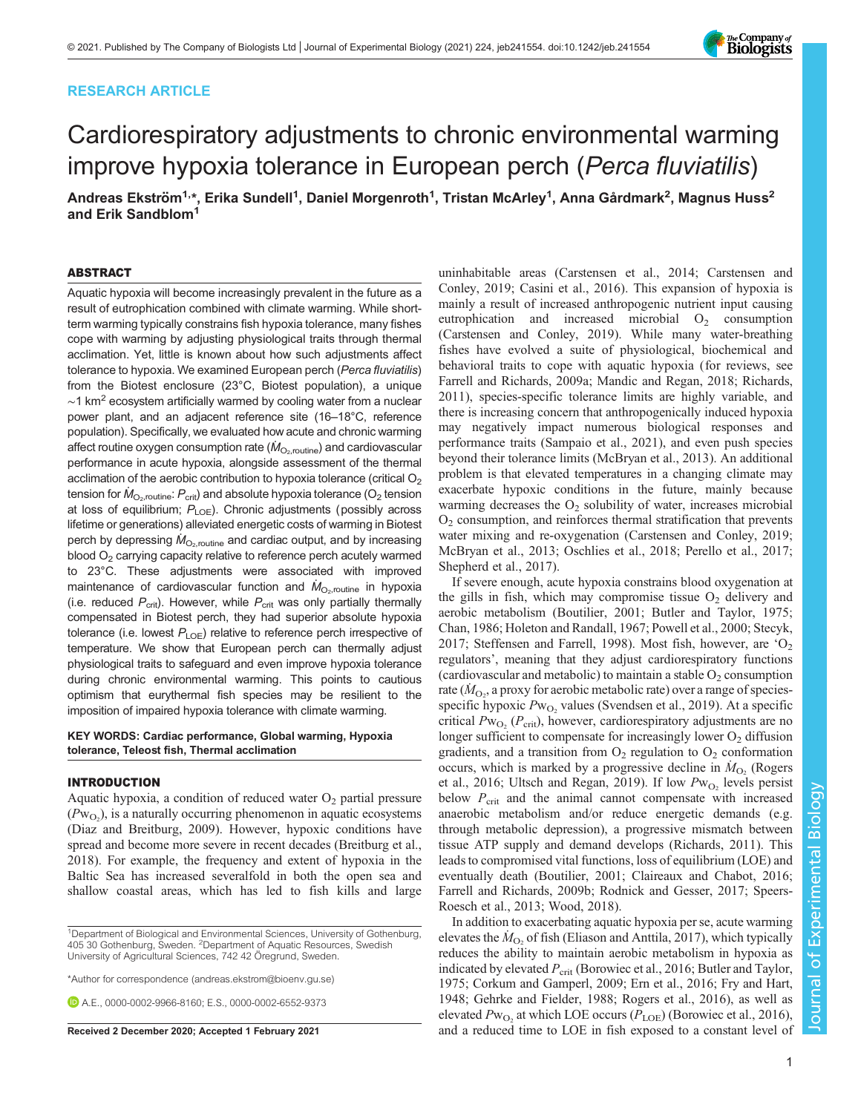# RESEARCH ARTICLE

# Cardiorespiratory adjustments to chronic environmental warming improve hypoxia tolerance in European perch (Perca fluviatilis)

Andreas Ekström<sup>1,</sup>\*, Erika Sundell<sup>1</sup>, Daniel Morgenroth<sup>1</sup>, Tristan McArley<sup>1</sup>, Anna Gårdmark<sup>2</sup>, Magnus Huss<sup>2</sup> and Erik Sandblom<sup>1</sup>

# ABSTRACT

Aquatic hypoxia will become increasingly prevalent in the future as a result of eutrophication combined with climate warming. While shortterm warming typically constrains fish hypoxia tolerance, many fishes cope with warming by adjusting physiological traits through thermal acclimation. Yet, little is known about how such adjustments affect tolerance to hypoxia. We examined European perch (Perca fluviatilis) from the Biotest enclosure (23°C, Biotest population), a unique  $~1$  km<sup>2</sup> ecosystem artificially warmed by cooling water from a nuclear power plant, and an adjacent reference site (16–18°C, reference population). Specifically, we evaluated how acute and chronic warming affect routine oxygen consumption rate  $(M_{O_2,\text{routine}})$  and cardiovascular performance in acute hypoxia, alongside assessment of the thermal acclimation of the aerobic contribution to hypoxia tolerance (critical  $O<sub>2</sub>$ tension for  $\dot{M}_\mathrm{O_2, routine}$ :  $P_\mathrm{crit}$ ) and absolute hypoxia tolerance (O<sub>2</sub> tension at loss of equilibrium;  $P_{\text{LOE}}$ ). Chronic adjustments (possibly across lifetime or generations) alleviated energetic costs of warming in Biotest perch by depressing  $M_{\odot}$ <sub>routine</sub> and cardiac output, and by increasing blood O<sub>2</sub> carrying capacity relative to reference perch acutely warmed to 23°C. These adjustments were associated with improved maintenance of cardiovascular function and  $\dot{M}_\mathrm{O_2, routine}$  in hypoxia (i.e. reduced  $P_{\text{crit}}$ ). However, while  $P_{\text{crit}}$  was only partially thermally compensated in Biotest perch, they had superior absolute hypoxia tolerance (i.e. lowest  $P_{\text{LOE}}$ ) relative to reference perch irrespective of temperature. We show that European perch can thermally adjust physiological traits to safeguard and even improve hypoxia tolerance during chronic environmental warming. This points to cautious optimism that eurythermal fish species may be resilient to the imposition of impaired hypoxia tolerance with climate warming.

# KEY WORDS: Cardiac performance, Global warming, Hypoxia tolerance, Teleost fish, Thermal acclimation

# INTRODUCTION

Aquatic hypoxia, a condition of reduced water  $O_2$  partial pressure  $(Pw_{O_2})$ , is a naturally occurring phenomenon in aquatic ecosystems [\(Diaz and Breitburg, 2009](#page-9-0)). However, hypoxic conditions have spread and become more severe in recent decades ([Breitburg et al.,](#page-9-0) [2018](#page-9-0)). For example, the frequency and extent of hypoxia in the Baltic Sea has increased severalfold in both the open sea and shallow coastal areas, which has led to fish kills and large

<sup>1</sup>Department of Biological and Environmental Sciences, University of Gothenburg, 405 30 Gothenburg, Sweden. <sup>2</sup>Department of Aquatic Resources, Swedish University of Agricultural Sciences, 742 42 Öregrund, Sweden.

\*Author for correspondence [\(andreas.ekstrom@bioenv.gu.se\)](mailto:andreas.ekstrom@bioenv.gu.se)

A.E., [0000-0002-9966-8160;](http://orcid.org/0000-0002-9966-8160) E.S., [0000-0002-6552-9373](http://orcid.org/0000-0002-6552-9373)

uninhabitable areas ([Carstensen et al., 2014](#page-9-0); [Carstensen and](#page-9-0) [Conley, 2019; Casini et al., 2016\)](#page-9-0). This expansion of hypoxia is mainly a result of increased anthropogenic nutrient input causing eutrophication and increased microbial  $O_2$  consumption [\(Carstensen and Conley, 2019\)](#page-9-0). While many water-breathing fishes have evolved a suite of physiological, biochemical and behavioral traits to cope with aquatic hypoxia (for reviews, see [Farrell and Richards, 2009a;](#page-9-0) [Mandic and Regan, 2018](#page-10-0); [Richards,](#page-10-0) [2011\)](#page-10-0), species-specific tolerance limits are highly variable, and there is increasing concern that anthropogenically induced hypoxia may negatively impact numerous biological responses and performance traits ([Sampaio et al., 2021](#page-10-0)), and even push species beyond their tolerance limits ([McBryan et al., 2013\)](#page-10-0). An additional problem is that elevated temperatures in a changing climate may exacerbate hypoxic conditions in the future, mainly because warming decreases the  $O_2$  solubility of water, increases microbial O2 consumption, and reinforces thermal stratification that prevents water mixing and re-oxygenation [\(Carstensen and Conley, 2019](#page-9-0); [McBryan et al., 2013](#page-10-0); [Oschlies et al., 2018](#page-10-0); [Perello et al., 2017](#page-10-0); [Shepherd et al., 2017\)](#page-10-0).

If severe enough, acute hypoxia constrains blood oxygenation at the gills in fish, which may compromise tissue  $O<sub>2</sub>$  delivery and aerobic metabolism [\(Boutilier, 2001](#page-9-0); [Butler and Taylor, 1975](#page-9-0); [Chan, 1986](#page-9-0); [Holeton and Randall, 1967](#page-9-0); [Powell et al., 2000; Stecyk,](#page-10-0) [2017; Steffensen and Farrell, 1998\)](#page-10-0). Most fish, however, are  $O<sub>2</sub>$ regulators', meaning that they adjust cardiorespiratory functions (cardiovascular and metabolic) to maintain a stable  $O<sub>2</sub>$  consumption rate ( $\dot{M}_{\rm O_2}$ , a proxy for aerobic metabolic rate) over a range of speciesspecific hypoxic  $Pw_{O_2}$  values [\(Svendsen et al., 2019\)](#page-10-0). At a specific critical  $Pw_{O_2}$  ( $P_{\text{crit}}$ ), however, cardiorespiratory adjustments are no longer sufficient to compensate for increasingly lower  $O<sub>2</sub>$  diffusion gradients, and a transition from  $O_2$  regulation to  $O_2$  conformation occurs, which is marked by a progressive decline in  $\dot{M}_{\text{O}_2}$  [\(Rogers](#page-10-0) [et al., 2016; Ultsch and Regan, 2019\)](#page-10-0). If low  $Pw_{O_2}$  levels persist below  $P_{\text{crit}}$  and the animal cannot compensate with increased anaerobic metabolism and/or reduce energetic demands (e.g. through metabolic depression), a progressive mismatch between tissue ATP supply and demand develops [\(Richards, 2011\)](#page-10-0). This leads to compromised vital functions, loss of equilibrium (LOE) and eventually death [\(Boutilier, 2001](#page-9-0); [Claireaux and Chabot, 2016](#page-9-0); [Farrell and Richards, 2009b](#page-9-0); [Rodnick and Gesser, 2017; Speers-](#page-10-0)[Roesch et al., 2013; Wood, 2018\)](#page-10-0).

In addition to exacerbating aquatic hypoxia per se, acute warming elevates the  $\dot{M}_{\text{O}_2}$  of fish [\(Eliason and Anttila, 2017\)](#page-9-0), which typically reduces the ability to maintain aerobic metabolism in hypoxia as indicated by elevated  $P_{\text{crit}}$  ([Borowiec et al., 2016; Butler and Taylor,](#page-9-0) [1975; Corkum and Gamperl, 2009](#page-9-0); [Ern et al., 2016; Fry and Hart,](#page-9-0) [1948; Gehrke and Fielder, 1988;](#page-9-0) [Rogers et al., 2016\)](#page-10-0), as well as elevated  $Pw_{\text{O}_2}$  at which LOE occurs ( $P_{\text{LOE}}$ ) ([Borowiec et al., 2016\)](#page-9-0), Received 2 December 2020; Accepted 1 February 2021 and a reduced time to LOE in fish exposed to a constant level of

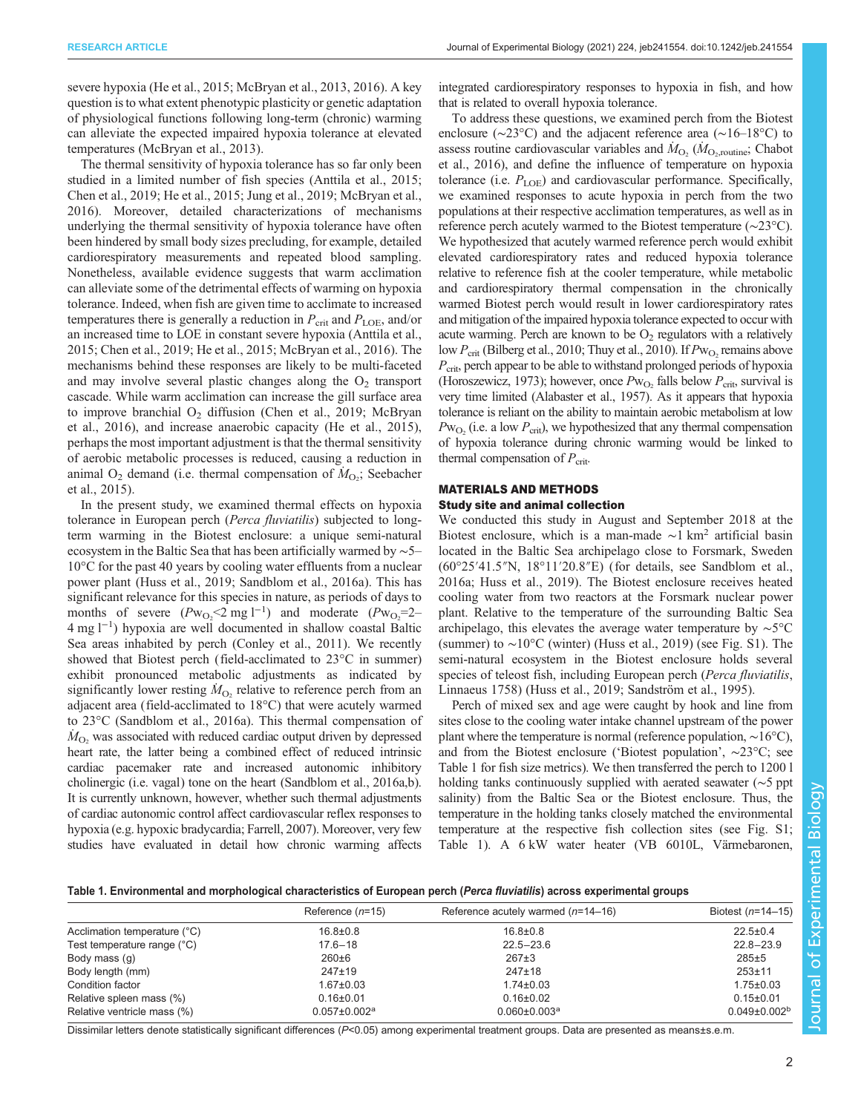<span id="page-1-0"></span>severe hypoxia [\(He et al., 2015;](#page-9-0) [McBryan et al., 2013, 2016](#page-10-0)). A key question is to what extent phenotypic plasticity or genetic adaptation of physiological functions following long-term (chronic) warming can alleviate the expected impaired hypoxia tolerance at elevated temperatures ([McBryan et al., 2013](#page-10-0)).

The thermal sensitivity of hypoxia tolerance has so far only been studied in a limited number of fish species [\(Anttila et al., 2015](#page-9-0); [Chen et al., 2019; He et al., 2015;](#page-9-0) [Jung et al., 2019](#page-10-0); [McBryan et al.,](#page-10-0) [2016](#page-10-0)). Moreover, detailed characterizations of mechanisms underlying the thermal sensitivity of hypoxia tolerance have often been hindered by small body sizes precluding, for example, detailed cardiorespiratory measurements and repeated blood sampling. Nonetheless, available evidence suggests that warm acclimation can alleviate some of the detrimental effects of warming on hypoxia tolerance. Indeed, when fish are given time to acclimate to increased temperatures there is generally a reduction in  $P_{\text{crit}}$  and  $P_{\text{LOE}}$ , and/or an increased time to LOE in constant severe hypoxia ([Anttila et al.,](#page-9-0) [2015](#page-9-0); [Chen et al., 2019](#page-9-0); [He et al., 2015](#page-9-0); [McBryan et al., 2016\)](#page-10-0). The mechanisms behind these responses are likely to be multi-faceted and may involve several plastic changes along the  $O_2$  transport cascade. While warm acclimation can increase the gill surface area to improve branchial  $O_2$  diffusion ([Chen et al., 2019;](#page-9-0) [McBryan](#page-10-0) [et al., 2016](#page-10-0)), and increase anaerobic capacity [\(He et al., 2015\)](#page-9-0), perhaps the most important adjustment is that the thermal sensitivity of aerobic metabolic processes is reduced, causing a reduction in animal  $O_2$  demand (i.e. thermal compensation of  $\dot{M}_{O_2}$ ; [Seebacher](#page-10-0) [et al., 2015\)](#page-10-0).

In the present study, we examined thermal effects on hypoxia tolerance in European perch (Perca fluviatilis) subjected to longterm warming in the Biotest enclosure: a unique semi-natural ecosystem in the Baltic Sea that has been artificially warmed by ∼5– 10°C for the past 40 years by cooling water effluents from a nuclear power plant ([Huss et al., 2019; Sandblom et al., 2016a](#page-10-0)). This has significant relevance for this species in nature, as periods of days to months of severe  $(Pw_{O_2} < 2 \text{ mg } l^{-1})$  and moderate  $(Pw_{O_2} = 2 -$ 4 mg l−<sup>1</sup> ) hypoxia are well documented in shallow coastal Baltic Sea areas inhabited by perch [\(Conley et al., 2011](#page-9-0)). We recently showed that Biotest perch (field-acclimated to 23°C in summer) exhibit pronounced metabolic adjustments as indicated by significantly lower resting  $\dot{M}_{\text{O}_2}$  relative to reference perch from an adjacent area (field-acclimated to 18°C) that were acutely warmed to 23°C [\(Sandblom et al., 2016a](#page-10-0)). This thermal compensation of  $\dot{M}_{\text{O}_2}$  was associated with reduced cardiac output driven by depressed heart rate, the latter being a combined effect of reduced intrinsic cardiac pacemaker rate and increased autonomic inhibitory cholinergic (i.e. vagal) tone on the heart [\(Sandblom et al., 2016a,b\)](#page-10-0). It is currently unknown, however, whether such thermal adjustments of cardiac autonomic control affect cardiovascular reflex responses to hypoxia (e.g. hypoxic bradycardia; [Farrell, 2007\)](#page-9-0). Moreover, very few studies have evaluated in detail how chronic warming affects

integrated cardiorespiratory responses to hypoxia in fish, and how that is related to overall hypoxia tolerance.

To address these questions, we examined perch from the Biotest enclosure (∼23°C) and the adjacent reference area (∼16–18°C) to assess routine cardiovascular variables and  $\dot{M}_{\text{O}_2}$  ( $\dot{M}_{\text{O}_2,\text{routine}}$ ; [Chabot](#page-9-0) [et al., 2016](#page-9-0)), and define the influence of temperature on hypoxia tolerance (i.e.  $P_{\text{LOE}}$ ) and cardiovascular performance. Specifically, we examined responses to acute hypoxia in perch from the two populations at their respective acclimation temperatures, as well as in reference perch acutely warmed to the Biotest temperature (∼23°C). We hypothesized that acutely warmed reference perch would exhibit elevated cardiorespiratory rates and reduced hypoxia tolerance relative to reference fish at the cooler temperature, while metabolic and cardiorespiratory thermal compensation in the chronically warmed Biotest perch would result in lower cardiorespiratory rates and mitigation of the impaired hypoxia tolerance expected to occur with acute warming. Perch are known to be  $O<sub>2</sub>$  regulators with a relatively low  $P_{\rm crit}$  [\(Bilberg et al., 2010;](#page-9-0) [Thuy et al., 2010](#page-10-0)). If  $P_{\rm W_O}$  remains above  $P_{\text{crit}}$ , perch appear to be able to withstand prolonged periods of hypoxia [\(Horoszewicz, 1973\)](#page-9-0); however, once  $Pw_{\text{O}_2}$  falls below  $P_{\text{crit}}$ , survival is very time limited [\(Alabaster et al., 1957](#page-9-0)). As it appears that hypoxia tolerance is reliant on the ability to maintain aerobic metabolism at low  $Pw_{\text{O}_2}$  (i.e. a low  $P_{\text{crit}}$ ), we hypothesized that any thermal compensation of hypoxia tolerance during chronic warming would be linked to thermal compensation of  $P_{\text{crit}}$ .

# MATERIALS AND METHODS Study site and animal collection

We conducted this study in August and September 2018 at the Biotest enclosure, which is a man-made  $\sim$ 1 km<sup>2</sup> artificial basin located in the Baltic Sea archipelago close to Forsmark, Sweden (60°25′41.5″N, 18°11′20.8″E) (for details, see [Sandblom et al.,](#page-10-0) [2016a](#page-10-0); [Huss et al., 2019\).](#page-10-0) The Biotest enclosure receives heated cooling water from two reactors at the Forsmark nuclear power plant. Relative to the temperature of the surrounding Baltic Sea archipelago, this elevates the average water temperature by ∼5°C (summer) to ∼10°C (winter) ([Huss et al., 2019](#page-10-0)) (see [Fig. S1](http://jeb.biologists.org/lookup/doi/10.1242/jeb.241554.supplemental)). The semi-natural ecosystem in the Biotest enclosure holds several species of teleost fish, including European perch (Perca fluviatilis, Linnaeus 1758) [\(Huss et al., 2019](#page-10-0); [Sandström et al., 1995\)](#page-10-0).

Perch of mixed sex and age were caught by hook and line from sites close to the cooling water intake channel upstream of the power plant where the temperature is normal (reference population, ∼16°C), and from the Biotest enclosure ('Biotest population', ∼23°C; see Table 1 for fish size metrics). We then transferred the perch to 1200 l holding tanks continuously supplied with aerated seawater (∼5 ppt salinity) from the Baltic Sea or the Biotest enclosure. Thus, the temperature in the holding tanks closely matched the environmental temperature at the respective fish collection sites (see [Fig. S1](http://jeb.biologists.org/lookup/doi/10.1242/jeb.241554.supplemental); Table 1). A 6 kW water heater (VB 6010L, Värmebaronen,

| Table 1. Environmental and morphological characteristics of European perch (Perca fluviatilis) across experimental groups |  |  |
|---------------------------------------------------------------------------------------------------------------------------|--|--|
|                                                                                                                           |  |  |

|                              | Reference $(n=15)$             | Reference acutely warmed $(n=14-16)$ | Biotest $(n=14-15)$ |
|------------------------------|--------------------------------|--------------------------------------|---------------------|
| Acclimation temperature (°C) | $16.8 \pm 0.8$                 | $16.8 \pm 0.8$                       | $22.5 \pm 0.4$      |
| Test temperature range (°C)  | $17.6 - 18$                    | $22.5 - 23.6$                        | $22.8 - 23.9$       |
| Body mass (g)                | 260±6                          | $267+3$                              | $285 + 5$           |
| Body length (mm)             | $247 \pm 19$                   | $247 \pm 18$                         | $253 + 11$          |
| Condition factor             | $1.67 \pm 0.03$                | $1.74 \pm 0.03$                      | $1.75 \pm 0.03$     |
| Relative spleen mass (%)     | $0.16 \pm 0.01$                | $0.16 \pm 0.02$                      | $0.15 \pm 0.01$     |
| Relative ventricle mass (%)  | $0.057 \pm 0.002$ <sup>a</sup> | $0.060 \pm 0.003$ <sup>a</sup>       | $0.049 \pm 0.002^b$ |

Dissimilar letters denote statistically significant differences (P<0.05) among experimental treatment groups. Data are presented as means±s.e.m.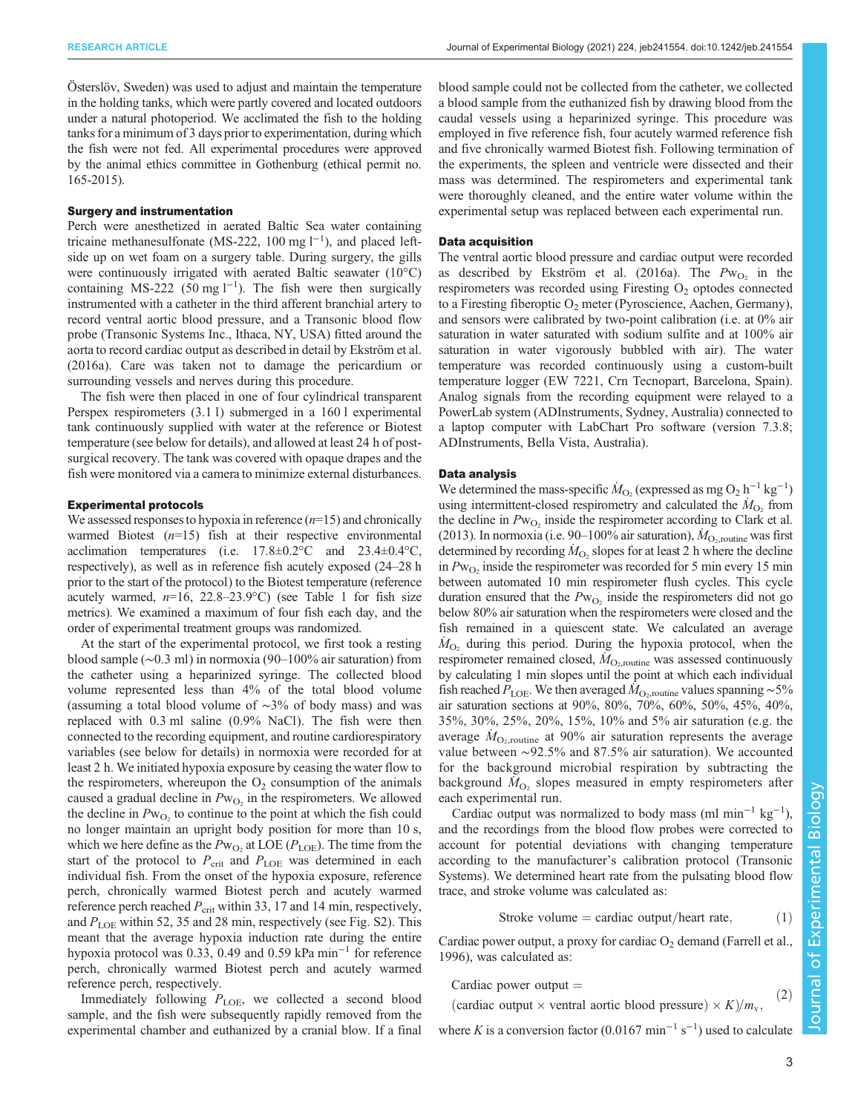Österslöv, Sweden) was used to adjust and maintain the temperature in the holding tanks, which were partly covered and located outdoors under a natural photoperiod. We acclimated the fish to the holding tanks for a minimum of 3 days prior to experimentation, during which the fish were not fed. All experimental procedures were approved by the animal ethics committee in Gothenburg (ethical permit no. 165-2015).

# Surgery and instrumentation

Perch were anesthetized in aerated Baltic Sea water containing tricaine methanesulfonate (MS-222, 100 mg l<sup>-1</sup>), and placed leftside up on wet foam on a surgery table. During surgery, the gills were continuously irrigated with aerated Baltic seawater (10°C) containing MS-222 (50 mg  $l^{-1}$ ). The fish were then surgically instrumented with a catheter in the third afferent branchial artery to record ventral aortic blood pressure, and a Transonic blood flow probe (Transonic Systems Inc., Ithaca, NY, USA) fitted around the aorta to record cardiac output as described in detail by [Ekström et al.](#page-9-0) [\(2016a\)](#page-9-0). Care was taken not to damage the pericardium or surrounding vessels and nerves during this procedure.

The fish were then placed in one of four cylindrical transparent Perspex respirometers (3.1 l) submerged in a 160 l experimental tank continuously supplied with water at the reference or Biotest temperature (see below for details), and allowed at least 24 h of postsurgical recovery. The tank was covered with opaque drapes and the fish were monitored via a camera to minimize external disturbances.

## Experimental protocols

We assessed responses to hypoxia in reference  $(n=15)$  and chronically warmed Biotest  $(n=15)$  fish at their respective environmental acclimation temperatures (i.e. 17.8±0.2°C and 23.4±0.4°C, respectively), as well as in reference fish acutely exposed (24–28 h prior to the start of the protocol) to the Biotest temperature (reference acutely warmed,  $n=16$ , 22.8–23.9°C) (see [Table 1](#page-1-0) for fish size metrics). We examined a maximum of four fish each day, and the order of experimental treatment groups was randomized.

At the start of the experimental protocol, we first took a resting blood sample (∼0.3 ml) in normoxia (90–100% air saturation) from the catheter using a heparinized syringe. The collected blood volume represented less than 4% of the total blood volume (assuming a total blood volume of ∼3% of body mass) and was replaced with 0.3 ml saline (0.9% NaCl). The fish were then connected to the recording equipment, and routine cardiorespiratory variables (see below for details) in normoxia were recorded for at least 2 h. We initiated hypoxia exposure by ceasing the water flow to the respirometers, whereupon the  $O<sub>2</sub>$  consumption of the animals caused a gradual decline in  $Pw_{\text{O}_2}$  in the respirometers. We allowed the decline in  $Pw_{\text{O}_2}$  to continue to the point at which the fish could no longer maintain an upright body position for more than 10 s, which we here define as the  $Pw_{\text{O}_2}$  at LOE ( $P_{\text{LOE}}$ ). The time from the start of the protocol to  $P_{\text{crit}}$  and  $P_{\text{LOE}}$  was determined in each individual fish. From the onset of the hypoxia exposure, reference perch, chronically warmed Biotest perch and acutely warmed reference perch reached  $P_{\rm crit}$  within 33, 17 and 14 min, respectively, and  $P_{\text{LOE}}$  within 52, 35 and 28 min, respectively (see [Fig. S2\)](http://jeb.biologists.org/lookup/doi/10.1242/jeb.241554.supplemental). This meant that the average hypoxia induction rate during the entire hypoxia protocol was 0.33, 0.49 and 0.59 kPa min−<sup>1</sup> for reference perch, chronically warmed Biotest perch and acutely warmed reference perch, respectively.

Immediately following  $P_{\text{LOE}}$ , we collected a second blood sample, and the fish were subsequently rapidly removed from the experimental chamber and euthanized by a cranial blow. If a final blood sample could not be collected from the catheter, we collected a blood sample from the euthanized fish by drawing blood from the caudal vessels using a heparinized syringe. This procedure was employed in five reference fish, four acutely warmed reference fish and five chronically warmed Biotest fish. Following termination of the experiments, the spleen and ventricle were dissected and their mass was determined. The respirometers and experimental tank were thoroughly cleaned, and the entire water volume within the experimental setup was replaced between each experimental run.

## Data acquisition

The ventral aortic blood pressure and cardiac output were recorded as described by [Ekström et al. \(2016a\).](#page-9-0) The  $Pw_{O<sub>2</sub>}$  in the respirometers was recorded using Firesting  $O<sub>2</sub>$  optodes connected to a Firesting fiberoptic  $O_2$  meter (Pyroscience, Aachen, Germany), and sensors were calibrated by two-point calibration (i.e. at 0% air saturation in water saturated with sodium sulfite and at 100% air saturation in water vigorously bubbled with air). The water temperature was recorded continuously using a custom-built temperature logger (EW 7221, Crn Tecnopart, Barcelona, Spain). Analog signals from the recording equipment were relayed to a PowerLab system (ADInstruments, Sydney, Australia) connected to a laptop computer with LabChart Pro software (version 7.3.8; ADInstruments, Bella Vista, Australia).

## Data analysis

We determined the mass-specific  $\dot{M}_{\text{O}_2}$  (expressed as mg O<sub>2</sub> h<sup>-1</sup> kg<sup>-1</sup>) using intermittent-closed respirometry and calculated the  $\dot{M}_{\text{O}_2}$  from the decline in  $Pw_{O_2}$  inside the respirometer according to [Clark et al.](#page-9-0) [\(2013\).](#page-9-0) In normoxia (i.e. 90–100% air saturation),  $\dot{M}_{\text{O}_2,\text{routine}}$  was first determined by recording  $\dot{M}_{\text{O}_2}$  slopes for at least 2 h where the decline in  $Pw<sub>O</sub>$ , inside the respirometer was recorded for 5 min every 15 min between automated 10 min respirometer flush cycles. This cycle duration ensured that the  $Pw_{O_2}$  inside the respirometers did not go below 80% air saturation when the respirometers were closed and the fish remained in a quiescent state. We calculated an average  $\dot{M}_{\text{O}_2}$  during this period. During the hypoxia protocol, when the respirometer remained closed,  $\dot{M}_{\rm O_2, routine}$  was assessed continuously by calculating 1 min slopes until the point at which each individual fish reached  $\dot{P}_{\rm LOE}$ . We then averaged  $\dot{M}_{\rm O_2, routine}$  values spanning ~5% air saturation sections at 90%, 80%, 70%, 60%, 50%, 45%, 40%, 35%, 30%, 25%, 20%, 15%, 10% and 5% air saturation (e.g. the average  $\dot{M}_{\text{O}_2,\text{routine}}$  at 90% air saturation represents the average value between ∼92.5% and 87.5% air saturation). We accounted for the background microbial respiration by subtracting the background  $\dot{M}_{\text{O}_2}$  slopes measured in empty respirometers after each experimental run.

Cardiac output was normalized to body mass (ml min<sup>-1</sup> kg<sup>-1</sup>), and the recordings from the blood flow probes were corrected to account for potential deviations with changing temperature according to the manufacturer's calibration protocol (Transonic Systems). We determined heart rate from the pulsating blood flow trace, and stroke volume was calculated as:

Stroke volume = cardiac output/heart rate,  $(1)$ 

Cardiac power output, a proxy for cardiac  $O_2$  demand ([Farrell et al.,](#page-9-0) [1996\)](#page-9-0), was calculated as:

Cardiac power output  $=$ 

(cardiac output  $\times$  ventral aortic blood pressure)  $\times K/m_v$ , <sup>(2)</sup>

where K is a conversion factor  $(0.0167 \text{ min}^{-1} \text{ s}^{-1})$  used to calculate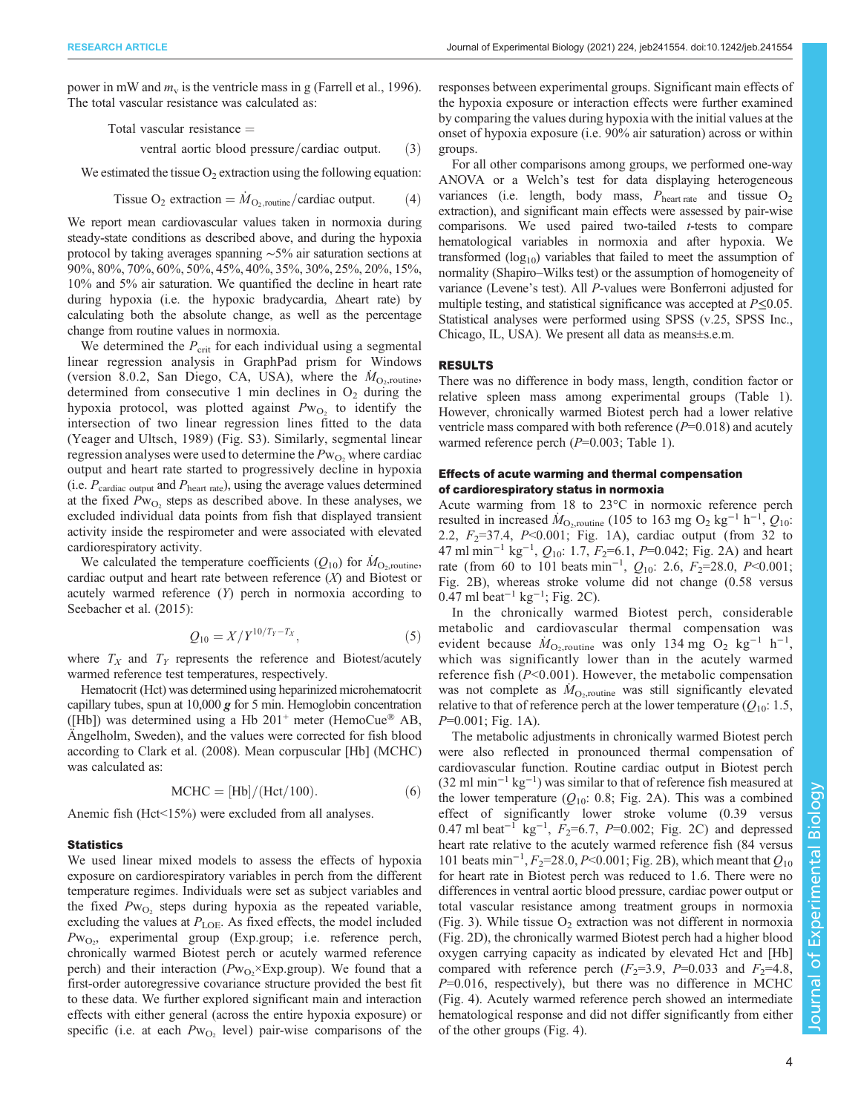power in mW and  $m_v$  is the ventricle mass in g [\(Farrell et al., 1996\)](#page-9-0). The total vascular resistance was calculated as:

$$
Total vascular resistance =
$$

ventral aortic blood pressure/cardiac output.  $(3)$ 

We estimated the tissue  $O_2$  extraction using the following equation:

Tissue O<sub>2</sub> extraction = 
$$
\dot{M}_{\text{O}_2,\text{routine}}/\text{cardiac output.}
$$
 (4)

We report mean cardiovascular values taken in normoxia during steady-state conditions as described above, and during the hypoxia protocol by taking averages spanning ∼5% air saturation sections at 90%, 80%, 70%, 60%, 50%, 45%, 40%, 35%, 30%, 25%, 20%, 15%, 10% and 5% air saturation. We quantified the decline in heart rate during hypoxia (i.e. the hypoxic bradycardia, Δheart rate) by calculating both the absolute change, as well as the percentage change from routine values in normoxia.

We determined the  $P_{\text{crit}}$  for each individual using a segmental linear regression analysis in GraphPad prism for Windows (version 8.0.2, San Diego, CA, USA), where the  $\dot{M}_{\text{O}_2,\text{routine}}$ , determined from consecutive 1 min declines in  $O_2$  during the hypoxia protocol, was plotted against  $Pw_{O_2}$  to identify the intersection of two linear regression lines fitted to the data [\(Yeager and Ultsch, 1989\)](#page-10-0) ([Fig. S3](http://jeb.biologists.org/lookup/doi/10.1242/jeb.241554.supplemental)). Similarly, segmental linear regression analyses were used to determine the  $Pw_{O_2}$  where cardiac output and heart rate started to progressively decline in hypoxia (i.e.  $P_{\text{cardiac output}}$  and  $P_{\text{heart rate}}$ ), using the average values determined at the fixed  $Pw_{O_2}$  steps as described above. In these analyses, we excluded individual data points from fish that displayed transient activity inside the respirometer and were associated with elevated cardiorespiratory activity.

We calculated the temperature coefficients  $(Q_{10})$  for  $\dot{M}_{\text{O}_2,\text{routine}}$ , cardiac output and heart rate between reference  $(X)$  and Biotest or acutely warmed reference (Y) perch in normoxia according to [Seebacher et al. \(2015\)](#page-10-0):

$$
Q_{10} = X/Y^{10/T_Y - T_X},\tag{5}
$$

where  $T_X$  and  $T_Y$  represents the reference and Biotest/acutely warmed reference test temperatures, respectively.

Hematocrit (Hct) was determined using heparinized microhematocrit capillary tubes, spun at 10,000  $g$  for 5 min. Hemoglobin concentration ([Hb]) was determined using a Hb  $201^+$  meter (HemoCue® AB, Ängelholm, Sweden), and the values were corrected for fish blood according to [Clark et al. \(2008\).](#page-9-0) Mean corpuscular [Hb] (MCHC) was calculated as:

$$
MCHC = [Hb]/(Hct/100). \tag{6}
$$

Anemic fish (Hct<15%) were excluded from all analyses.

## **Statistics**

We used linear mixed models to assess the effects of hypoxia exposure on cardiorespiratory variables in perch from the different temperature regimes. Individuals were set as subject variables and the fixed  $Pw_{\text{O}_2}$  steps during hypoxia as the repeated variable, excluding the values at  $P_{\text{LOE}}$ . As fixed effects, the model included  $Pw_{O_2}$ , experimental group (Exp.group; i.e. reference perch, chronically warmed Biotest perch or acutely warmed reference perch) and their interaction ( $Pw_{O_2} \times Exp.group$ ). We found that a first-order autoregressive covariance structure provided the best fit to these data. We further explored significant main and interaction effects with either general (across the entire hypoxia exposure) or specific (i.e. at each  $Pw_{O_2}$  level) pair-wise comparisons of the responses between experimental groups. Significant main effects of the hypoxia exposure or interaction effects were further examined by comparing the values during hypoxia with the initial values at the onset of hypoxia exposure (i.e. 90% air saturation) across or within groups.

For all other comparisons among groups, we performed one-way ANOVA or a Welch's test for data displaying heterogeneous variances (i.e. length, body mass,  $P_{\text{heart rate}}$  and tissue  $O_2$ extraction), and significant main effects were assessed by pair-wise comparisons. We used paired two-tailed t-tests to compare hematological variables in normoxia and after hypoxia. We transformed  $(log_{10})$  variables that failed to meet the assumption of normality (Shapiro–Wilks test) or the assumption of homogeneity of variance (Levene's test). All P-values were Bonferroni adjusted for multiple testing, and statistical significance was accepted at  $P \le 0.05$ . Statistical analyses were performed using SPSS (v.25, SPSS Inc., Chicago, IL, USA). We present all data as means±s.e.m.

# RESULTS

There was no difference in body mass, length, condition factor or relative spleen mass among experimental groups ([Table 1\)](#page-1-0). However, chronically warmed Biotest perch had a lower relative ventricle mass compared with both reference  $(P=0.018)$  and acutely warmed reference perch  $(P=0.003;$  [Table 1\)](#page-1-0).

# Effects of acute warming and thermal compensation of cardiorespiratory status in normoxia

Acute warming from 18 to 23°C in normoxic reference perch resulted in increased  $\dot{M}_{\text{O}_2,\text{routine}}$  (105 to 163 mg O<sub>2</sub> kg<sup>-1</sup> h<sup>-1</sup>,  $Q_{10}$ : 2.2,  $F_2 = 37.4$ ,  $P < 0.001$ ; [Fig. 1A](#page-4-0)), cardiac output (from 32 to 47 ml min<sup>-1</sup> kg<sup>-1</sup>,  $Q_{10}$ : 1.7,  $F_2$ =6.1,  $P$ =0.042; [Fig. 2A](#page-5-0)) and heart rate (from 60 to 101 beats min<sup>-1</sup>,  $Q_{10}$ : 2.6,  $F_2$ =28.0,  $P \le 0.001$ ; [Fig. 2B](#page-5-0)), whereas stroke volume did not change (0.58 versus 0.47 ml beat<sup>-1</sup> kg<sup>-1</sup>; [Fig. 2](#page-5-0)C).

In the chronically warmed Biotest perch, considerable metabolic and cardiovascular thermal compensation was evident because  $\dot{M}_{\text{O}_2,\text{routine}}$  was only 134 mg  $O_2$  kg<sup>-1</sup> h<sup>-1</sup>, which was significantly lower than in the acutely warmed reference fish  $(P<0.001)$ . However, the metabolic compensation was not complete as  $\dot{M}_{\text{O}_2,\text{routine}}$  was still significantly elevated relative to that of reference perch at the lower temperature  $(Q_{10}: 1.5,$ P=0.001; [Fig. 1](#page-4-0)A).

The metabolic adjustments in chronically warmed Biotest perch were also reflected in pronounced thermal compensation of cardiovascular function. Routine cardiac output in Biotest perch  $(32 \text{ ml min}^{-1} \text{ kg}^{-1})$  was similar to that of reference fish measured at the lower temperature  $(Q_{10}: 0.8;$  [Fig. 2A](#page-5-0)). This was a combined effect of significantly lower stroke volume (0.39 versus 0.47 ml beat<sup>-1</sup> kg<sup>-1</sup>,  $F_2$ =6.7, P=0.002; [Fig. 2C](#page-5-0)) and depressed heart rate relative to the acutely warmed reference fish (84 versus 101 beats min<sup>-1</sup>, F<sub>2</sub>=28.0, P<0.001; [Fig. 2](#page-5-0)B), which meant that Q<sub>10</sub> for heart rate in Biotest perch was reduced to 1.6. There were no differences in ventral aortic blood pressure, cardiac power output or total vascular resistance among treatment groups in normoxia [\(Fig. 3\)](#page-6-0). While tissue  $O_2$  extraction was not different in normoxia [\(Fig. 2](#page-5-0)D), the chronically warmed Biotest perch had a higher blood oxygen carrying capacity as indicated by elevated Hct and [Hb] compared with reference perch  $(F_2=3.9, P=0.033$  and  $F_2=4.8$ ,  $P=0.016$ , respectively), but there was no difference in MCHC [\(Fig. 4\)](#page-7-0). Acutely warmed reference perch showed an intermediate hematological response and did not differ significantly from either of the other groups ([Fig. 4](#page-7-0)).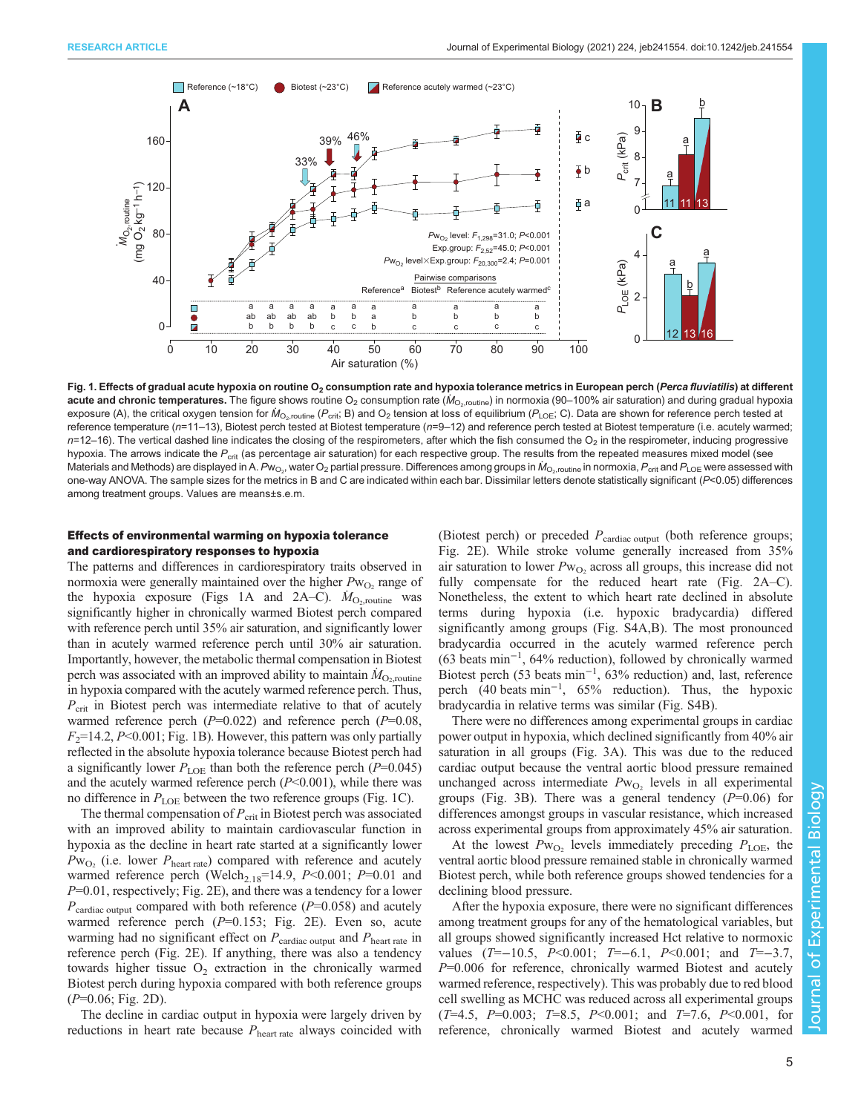<span id="page-4-0"></span>

Fig. 1. Effects of gradual acute hypoxia on routine O<sub>2</sub> consumption rate and hypoxia tolerance metrics in European perch (Perca fluviatilis) at different acute and chronic temperatures. The figure shows routine O<sub>2</sub> consumption rate ( $M_{\rm O_2, routine}$ ) in normoxia (90–100% air saturation) and during gradual hypoxia exposure (A), the critical oxygen tension for  $M_{\rm O_2, routine}$  ( $P_{\rm crit}$ ; B) and  $O_2$  tension at loss of equilibrium ( $P_{\rm LOE}$ ; C). Data are shown for reference perch tested at reference temperature (n=11–13), Biotest perch tested at Biotest temperature (n=9–12) and reference perch tested at Biotest temperature (i.e. acutely warmed;  $n=12-16$ ). The vertical dashed line indicates the closing of the respirometers, after which the fish consumed the  $O<sub>2</sub>$  in the respirometer, inducing progressive hypoxia. The arrows indicate the P<sub>crit</sub> (as percentage air saturation) for each respective group. The results from the repeated measures mixed model (see Materials and Methods) are displayed in A. Pw<sub>O2</sub>, water O<sub>2</sub> partial pressure. Differences among groups in  $\dot$ <sub>O2, routine</sub> in normoxia,  $P_\text{crit}$  and  $P_\text{LOE}$  were assessed with one-way ANOVA. The sample sizes for the metrics in B and C are indicated within each bar. Dissimilar letters denote statistically significant (P<0.05) differences among treatment groups. Values are means±s.e.m.

# Effects of environmental warming on hypoxia tolerance and cardiorespiratory responses to hypoxia

The patterns and differences in cardiorespiratory traits observed in normoxia were generally maintained over the higher  $P_{W_{\Omega}}$  range of the hypoxia exposure (Figs 1A and [2](#page-5-0)A–C).  $\dot{M}_{\text{O}_2,\text{routine}}$  was significantly higher in chronically warmed Biotest perch compared with reference perch until 35% air saturation, and significantly lower than in acutely warmed reference perch until 30% air saturation. Importantly, however, the metabolic thermal compensation in Biotest perch was associated with an improved ability to maintain  $\dot{M}_\mathrm{O_2, routine}$ in hypoxia compared with the acutely warmed reference perch. Thus,  $P_{\text{crit}}$  in Biotest perch was intermediate relative to that of acutely warmed reference perch  $(P=0.022)$  and reference perch  $(P=0.08)$ ,  $F_2$ =14.2, P<0.001; Fig. 1B). However, this pattern was only partially reflected in the absolute hypoxia tolerance because Biotest perch had a significantly lower  $P_{\text{LOE}}$  than both the reference perch (P=0.045) and the acutely warmed reference perch  $(P<0.001)$ , while there was no difference in  $P_{\text{LOE}}$  between the two reference groups (Fig. 1C).

The thermal compensation of  $P_{\text{crit}}$  in Biotest perch was associated with an improved ability to maintain cardiovascular function in hypoxia as the decline in heart rate started at a significantly lower  $P_{\text{W}_{\text{O}_2}}$  (i.e. lower  $P_{\text{heart rate}}$ ) compared with reference and acutely warmed reference perch (Welch<sub>2.18</sub>=14.9,  $P<0.001$ ;  $P=0.01$  and  $P=0.01$ , respectively; [Fig. 2E](#page-5-0)), and there was a tendency for a lower  $P_{\text{cardiac output}}$  compared with both reference ( $P=0.058$ ) and acutely warmed reference perch  $(P=0.153;$  [Fig. 2](#page-5-0)E). Even so, acute warming had no significant effect on  $P_{\text{cardiac output}}$  and  $P_{\text{heart rate}}$  in reference perch [\(Fig. 2](#page-5-0)E). If anything, there was also a tendency towards higher tissue  $O_2$  extraction in the chronically warmed Biotest perch during hypoxia compared with both reference groups  $(P=0.06; Fig. 2D)$  $(P=0.06; Fig. 2D)$  $(P=0.06; Fig. 2D)$ .

The decline in cardiac output in hypoxia were largely driven by reductions in heart rate because  $P_{\text{heart rate}}$  always coincided with

(Biotest perch) or preceded  $P_{\text{cardiac output}}$  (both reference groups; [Fig. 2E](#page-5-0)). While stroke volume generally increased from 35% air saturation to lower  $Pw_{\text{O}_2}$  across all groups, this increase did not fully compensate for the reduced heart rate [\(Fig. 2A](#page-5-0)–C). Nonetheless, the extent to which heart rate declined in absolute terms during hypoxia (i.e. hypoxic bradycardia) differed significantly among groups ([Fig. S4A,B](http://jeb.biologists.org/lookup/doi/10.1242/jeb.241554.supplemental)). The most pronounced bradycardia occurred in the acutely warmed reference perch (63 beats min−<sup>1</sup> , 64% reduction), followed by chronically warmed Biotest perch (53 beats min−<sup>1</sup> , 63% reduction) and, last, reference perch (40 beats min−<sup>1</sup> , 65% reduction). Thus, the hypoxic bradycardia in relative terms was similar [\(Fig. S4B](http://jeb.biologists.org/lookup/doi/10.1242/jeb.241554.supplemental)). Fracemes measures warmed and the same of the same of the same of the same of the same of the same of the same of the same of the same of the same of the same of the same of the same of the same of the same of the same of

There were no differences among experimental groups in cardiac power output in hypoxia, which declined significantly from 40% air saturation in all groups [\(Fig. 3A](#page-6-0)). This was due to the reduced cardiac output because the ventral aortic blood pressure remained unchanged across intermediate  $Pw_{O_2}$  levels in all experimental groups ([Fig. 3](#page-6-0)B). There was a general tendency  $(P=0.06)$  for differences amongst groups in vascular resistance, which increased across experimental groups from approximately 45% air saturation.

At the lowest  $P_{\text{W_O}}$  levels immediately preceding  $P_{\text{LOE}}$ , the ventral aortic blood pressure remained stable in chronically warmed Biotest perch, while both reference groups showed tendencies for a declining blood pressure.

After the hypoxia exposure, there were no significant differences among treatment groups for any of the hematological variables, but all groups showed significantly increased Hct relative to normoxic values (T=−10.5, P<0.001; T=−6.1, P<0.001; and T=−3.7,  $P=0.006$  for reference, chronically warmed Biotest and acutely warmed reference, respectively). This was probably due to red blood cell swelling as MCHC was reduced across all experimental groups  $(T=4.5, P=0.003; T=8.5, P<0.001;$  and  $T=7.6, P<0.001,$  for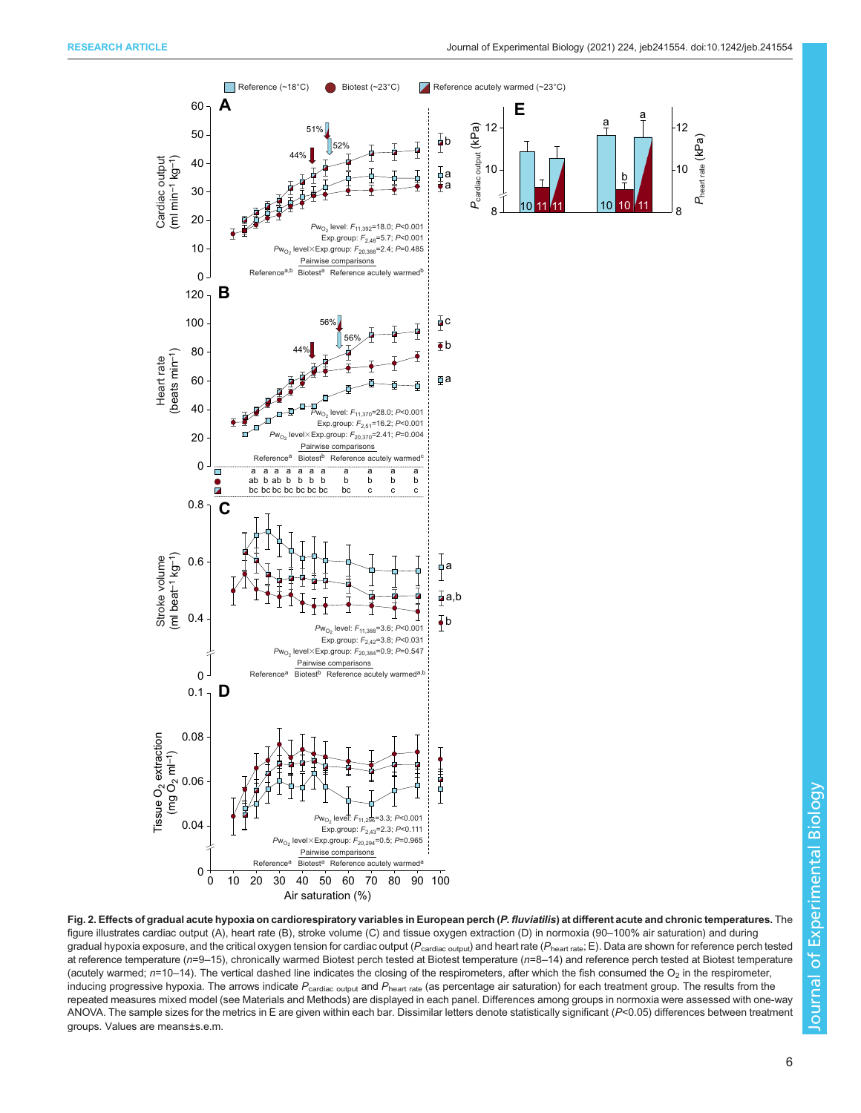*P*heart rate (kPa)

Pheart rate (KPa)

<span id="page-5-0"></span>

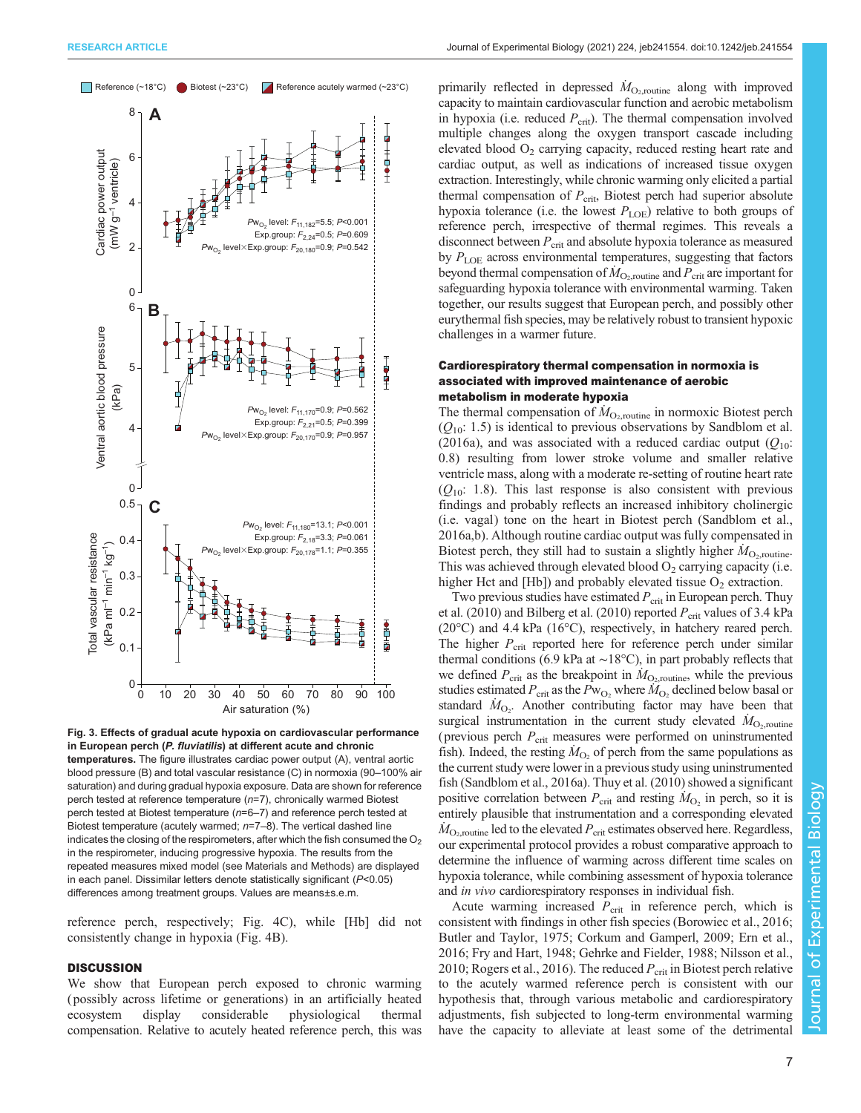<span id="page-6-0"></span>

Fig. 3. Effects of gradual acute hypoxia on cardiovascular performance in European perch (P. fluviatilis) at different acute and chronic temperatures. The figure illustrates cardiac power output (A), ventral aortic blood pressure (B) and total vascular resistance (C) in normoxia (90–100% air saturation) and during gradual hypoxia exposure. Data are shown for reference perch tested at reference temperature (n=7), chronically warmed Biotest perch tested at Biotest temperature (n=6–7) and reference perch tested at Biotest temperature (acutely warmed;  $n=7-8$ ). The vertical dashed line indicates the closing of the respirometers, after which the fish consumed the  $O<sub>2</sub>$ in the respirometer, inducing progressive hypoxia. The results from the repeated measures mixed model (see Materials and Methods) are displayed in each panel. Dissimilar letters denote statistically significant (P<0.05) differences among treatment groups. Values are means±s.e.m.

reference perch, respectively; [Fig. 4](#page-7-0)C), while [Hb] did not consistently change in hypoxia [\(Fig. 4](#page-7-0)B).

# **DISCUSSION**

We show that European perch exposed to chronic warming ( possibly across lifetime or generations) in an artificially heated ecosystem display considerable physiological thermal compensation. Relative to acutely heated reference perch, this was

primarily reflected in depressed  $\dot{M}_{\text{O}_2,\text{routine}}$  along with improved capacity to maintain cardiovascular function and aerobic metabolism in hypoxia (i.e. reduced  $P_{\rm crit}$ ). The thermal compensation involved multiple changes along the oxygen transport cascade including elevated blood  $O_2$  carrying capacity, reduced resting heart rate and cardiac output, as well as indications of increased tissue oxygen extraction. Interestingly, while chronic warming only elicited a partial thermal compensation of  $P_{\text{crit}}$ , Biotest perch had superior absolute hypoxia tolerance (i.e. the lowest  $P_{\text{LOE}}$ ) relative to both groups of reference perch, irrespective of thermal regimes. This reveals a disconnect between  $P_{\text{crit}}$  and absolute hypoxia tolerance as measured by  $P_{\text{LOE}}$  across environmental temperatures, suggesting that factors beyond thermal compensation of  $\dot{M}_{\text{O}_2,\text{routine}}$  and  $P_{\text{crit}}$  are important for safeguarding hypoxia tolerance with environmental warming. Taken together, our results suggest that European perch, and possibly other eurythermal fish species, may be relatively robust to transient hypoxic challenges in a warmer future.

# Cardiorespiratory thermal compensation in normoxia is associated with improved maintenance of aerobic metabolism in moderate hypoxia

The thermal compensation of  $\dot{M}_{\text{O}_2,\text{routine}}$  in normoxic Biotest perch  $(Q_{10}: 1.5)$  is identical to previous observations by [Sandblom et al.](#page-10-0) [\(2016a\)](#page-10-0), and was associated with a reduced cardiac output  $(Q_{10})$ : 0.8) resulting from lower stroke volume and smaller relative ventricle mass, along with a moderate re-setting of routine heart rate  $(Q_{10}: 1.8)$ . This last response is also consistent with previous findings and probably reflects an increased inhibitory cholinergic (i.e. vagal) tone on the heart in Biotest perch ([Sandblom et al.,](#page-10-0) [2016a](#page-10-0),[b](#page-10-0)). Although routine cardiac output was fully compensated in Biotest perch, they still had to sustain a slightly higher  $\dot{M}_{\rm O_2, routine}$ . This was achieved through elevated blood  $O_2$  carrying capacity (i.e. higher Hct and  $[Hb]$ ) and probably elevated tissue  $O_2$  extraction.

Two previous studies have estimated  $P_{\rm crit}$  in European perch. [Thuy](#page-10-0) [et al. \(2010\)](#page-10-0) and [Bilberg et al. \(2010\)](#page-9-0) reported  $P_{\text{crit}}$  values of 3.4 kPa (20°C) and 4.4 kPa (16°C), respectively, in hatchery reared perch. The higher  $P_{\rm crit}$  reported here for reference perch under similar thermal conditions (6.9 kPa at ∼18°C), in part probably reflects that we defined  $P_{\text{crit}}$  as the breakpoint in  $\dot{M}_{\text{O}_2,\text{routine}}$ , while the previous studies estimated  $P_{\rm crit}$  as the  $P_{\rm W_O_2}$  where  $\dot{M}_{\rm O_2}$  declined below basal or standard  $\dot{M}_{\text{O}_2}$ . Another contributing factor may have been that surgical instrumentation in the current study elevated  $\dot{M}_{\text{O}_2,\text{routine}}$ (previous perch  $P_{\rm crit}$  measures were performed on uninstrumented fish). Indeed, the resting  $\dot{M}_{\text{O}_2}$  of perch from the same populations as the current study were lower in a previous study using uninstrumented fish ([Sandblom et al., 2016a\)](#page-10-0). [Thuy et al. \(2010\)](#page-10-0) showed a significant positive correlation between  $P_{\text{crit}}$  and resting  $\dot{M}_{\text{O}_2}$  in perch, so it is entirely plausible that instrumentation and a corresponding elevated  $\dot{M}_{\rm O_2, routine}$  led to the elevated  $P_{\rm crit}$  estimates observed here. Regardless, our experimental protocol provides a robust comparative approach to determine the influence of warming across different time scales on hypoxia tolerance, while combining assessment of hypoxia tolerance and in vivo cardiorespiratory responses in individual fish.

Acute warming increased  $P_{\text{crit}}$  in reference perch, which is consistent with findings in other fish species ([Borowiec et al., 2016](#page-9-0); [Butler and Taylor, 1975; Corkum and Gamperl, 2009; Ern et al.,](#page-9-0) [2016; Fry and Hart, 1948](#page-9-0); [Gehrke and Fielder, 1988;](#page-9-0) [Nilsson et al.,](#page-10-0) [2010; Rogers et al., 2016\)](#page-10-0). The reduced  $P_{\text{crit}}$  in Biotest perch relative to the acutely warmed reference perch is consistent with our hypothesis that, through various metabolic and cardiorespiratory adjustments, fish subjected to long-term environmental warming have the capacity to alleviate at least some of the detrimental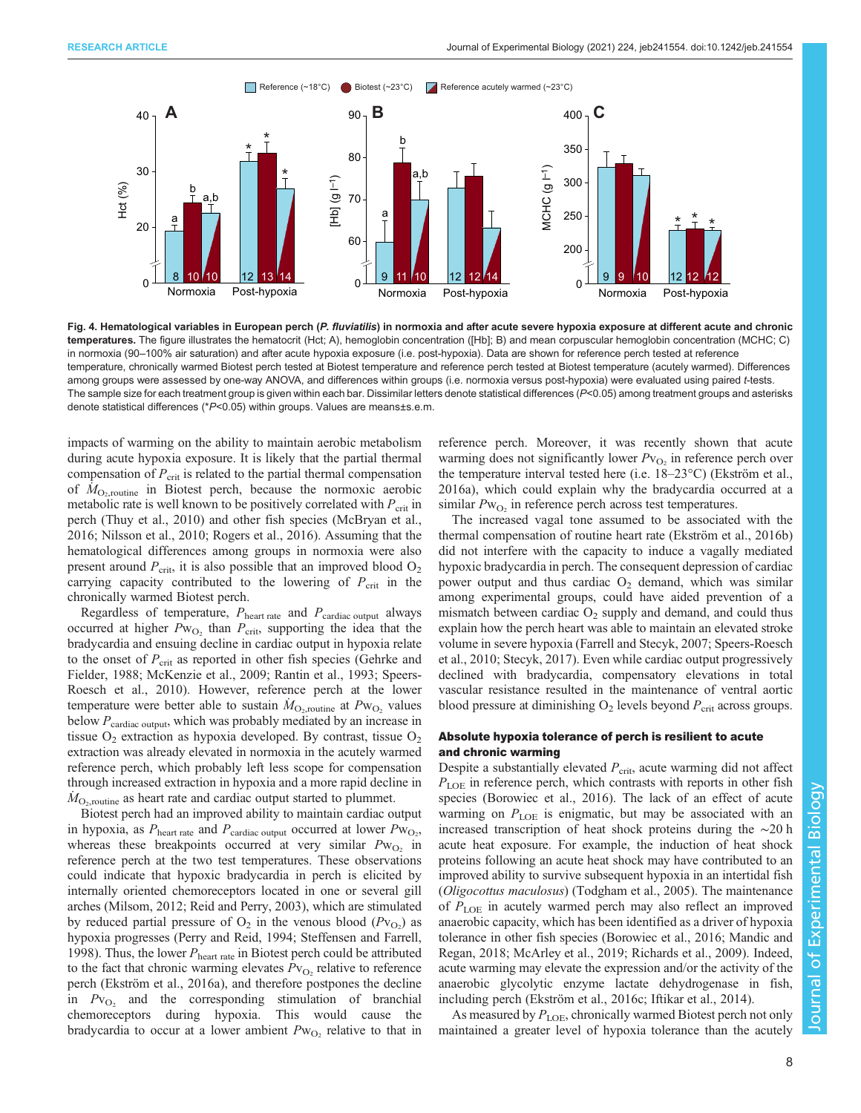<span id="page-7-0"></span>

Fig. 4. Hematological variables in European perch (P. fluviatilis) in normoxia and after acute severe hypoxia exposure at different acute and chronic temperatures. The figure illustrates the hematocrit (Hct; A), hemoglobin concentration ([Hb]; B) and mean corpuscular hemoglobin concentration (MCHC; C) in normoxia (90–100% air saturation) and after acute hypoxia exposure (i.e. post-hypoxia). Data are shown for reference perch tested at reference temperature, chronically warmed Biotest perch tested at Biotest temperature and reference perch tested at Biotest temperature (acutely warmed). Differences among groups were assessed by one-way ANOVA, and differences within groups (i.e. normoxia versus post-hypoxia) were evaluated using paired t-tests. The sample size for each treatment group is given within each bar. Dissimilar letters denote statistical differences  $(P<0.05)$  among treatment groups and asterisks denote statistical differences (\*P<0.05) within groups. Values are means±s.e.m.

impacts of warming on the ability to maintain aerobic metabolism during acute hypoxia exposure. It is likely that the partial thermal compensation of  $P_{\rm crit}$  is related to the partial thermal compensation of  $\overline{M}_{\text{O}_2,\text{routine}}$  in Biotest perch, because the normoxic aerobic metabolic rate is well known to be positively correlated with  $P_{\text{crit}}$  in perch [\(Thuy et al., 2010](#page-10-0)) and other fish species ([McBryan et al.,](#page-10-0) [2016](#page-10-0); [Nilsson et al., 2010](#page-10-0); [Rogers et al., 2016\)](#page-10-0). Assuming that the hematological differences among groups in normoxia were also present around  $P_{\rm crit}$ , it is also possible that an improved blood  $O_2$ carrying capacity contributed to the lowering of  $P_{\rm crit}$  in the chronically warmed Biotest perch.

Regardless of temperature,  $P_{\text{heart rate}}$  and  $P_{\text{cardiac output}}$  always occurred at higher  $Pw_{O_2}$  than  $P_{\text{crit}}$ , supporting the idea that the bradycardia and ensuing decline in cardiac output in hypoxia relate to the onset of  $P_{\rm crit}$  as reported in other fish species ([Gehrke and](#page-9-0) [Fielder, 1988;](#page-9-0) [McKenzie et al., 2009; Rantin et al., 1993](#page-10-0); [Speers-](#page-10-0)[Roesch et al., 2010\)](#page-10-0). However, reference perch at the lower temperature were better able to sustain  $\dot{M}_{\text{O}_2,\text{routine}}$  at  $P_{\text{W}_{\text{O}_2}}$  values below  $P_{\text{cardiac output}}$ , which was probably mediated by an increase in tissue  $O_2$  extraction as hypoxia developed. By contrast, tissue  $O_2$ extraction was already elevated in normoxia in the acutely warmed reference perch, which probably left less scope for compensation through increased extraction in hypoxia and a more rapid decline in  $\dot{M}_{\rm O_2, routine}$  as heart rate and cardiac output started to plummet.

Biotest perch had an improved ability to maintain cardiac output in hypoxia, as  $P_{\text{heart rate}}$  and  $P_{\text{cardiac output}}$  occurred at lower  $P_{\text{W}_{\text{O}_2}}$ , whereas these breakpoints occurred at very similar  $Pw_{O2}$  in reference perch at the two test temperatures. These observations could indicate that hypoxic bradycardia in perch is elicited by internally oriented chemoreceptors located in one or several gill arches [\(Milsom, 2012](#page-10-0); [Reid and Perry, 2003\)](#page-10-0), which are stimulated by reduced partial pressure of  $O_2$  in the venous blood  $(Pv_{O_2})$  as hypoxia progresses ([Perry and Reid, 1994](#page-10-0); [Steffensen and Farrell,](#page-10-0) [1998](#page-10-0)). Thus, the lower  $P_{\text{heart rate}}$  in Biotest perch could be attributed to the fact that chronic warming elevates  $Pv_{\rm O}$ , relative to reference perch ([Ekström et al., 2016a\)](#page-9-0), and therefore postpones the decline in  $Pv_{\text{O}_2}$  and the corresponding stimulation of branchial chemoreceptors during hypoxia. This would cause the bradycardia to occur at a lower ambient  $Pw_{O_2}$  relative to that in reference perch. Moreover, it was recently shown that acute warming does not significantly lower  $Pv_{\text{O}_2}$  in reference perch over the temperature interval tested here (i.e. 18–23°C) [\(Ekström et al.,](#page-9-0) [2016a](#page-9-0)), which could explain why the bradycardia occurred at a similar  $Pw<sub>O</sub>$ , in reference perch across test temperatures.

The increased vagal tone assumed to be associated with the thermal compensation of routine heart rate ([Ekström et al., 2016b\)](#page-9-0) did not interfere with the capacity to induce a vagally mediated hypoxic bradycardia in perch. The consequent depression of cardiac power output and thus cardiac  $O<sub>2</sub>$  demand, which was similar among experimental groups, could have aided prevention of a mismatch between cardiac  $O_2$  supply and demand, and could thus explain how the perch heart was able to maintain an elevated stroke volume in severe hypoxia ([Farrell and Stecyk, 2007;](#page-9-0) [Speers-Roesch](#page-10-0) [et al., 2010](#page-10-0); [Stecyk, 2017](#page-10-0)). Even while cardiac output progressively declined with bradycardia, compensatory elevations in total vascular resistance resulted in the maintenance of ventral aortic blood pressure at diminishing  $O_2$  levels beyond  $P_{crit}$  across groups.

# Absolute hypoxia tolerance of perch is resilient to acute and chronic warming

Despite a substantially elevated  $P_{\text{crit}}$ , acute warming did not affect  $P_{\text{LOE}}$  in reference perch, which contrasts with reports in other fish species ([Borowiec et al., 2016\)](#page-9-0). The lack of an effect of acute warming on  $P_{\text{LOE}}$  is enigmatic, but may be associated with an increased transcription of heat shock proteins during the ∼20 h acute heat exposure. For example, the induction of heat shock proteins following an acute heat shock may have contributed to an improved ability to survive subsequent hypoxia in an intertidal fish (Oligocottus maculosus) [\(Todgham et al., 2005](#page-10-0)). The maintenance of  $P_{\text{LOE}}$  in acutely warmed perch may also reflect an improved anaerobic capacity, which has been identified as a driver of hypoxia tolerance in other fish species [\(Borowiec et al., 2016](#page-9-0); [Mandic and](#page-10-0) [Regan, 2018](#page-10-0); [McArley et al., 2019; Richards et al., 2009\)](#page-10-0). Indeed, acute warming may elevate the expression and/or the activity of the anaerobic glycolytic enzyme lactate dehydrogenase in fish, including perch ([Ekström et al., 2016c;](#page-9-0) [Iftikar et al., 2014](#page-10-0)).

As measured by  $P_{\rm LOE}$ , chronically warmed Biotest perch not only maintained a greater level of hypoxia tolerance than the acutely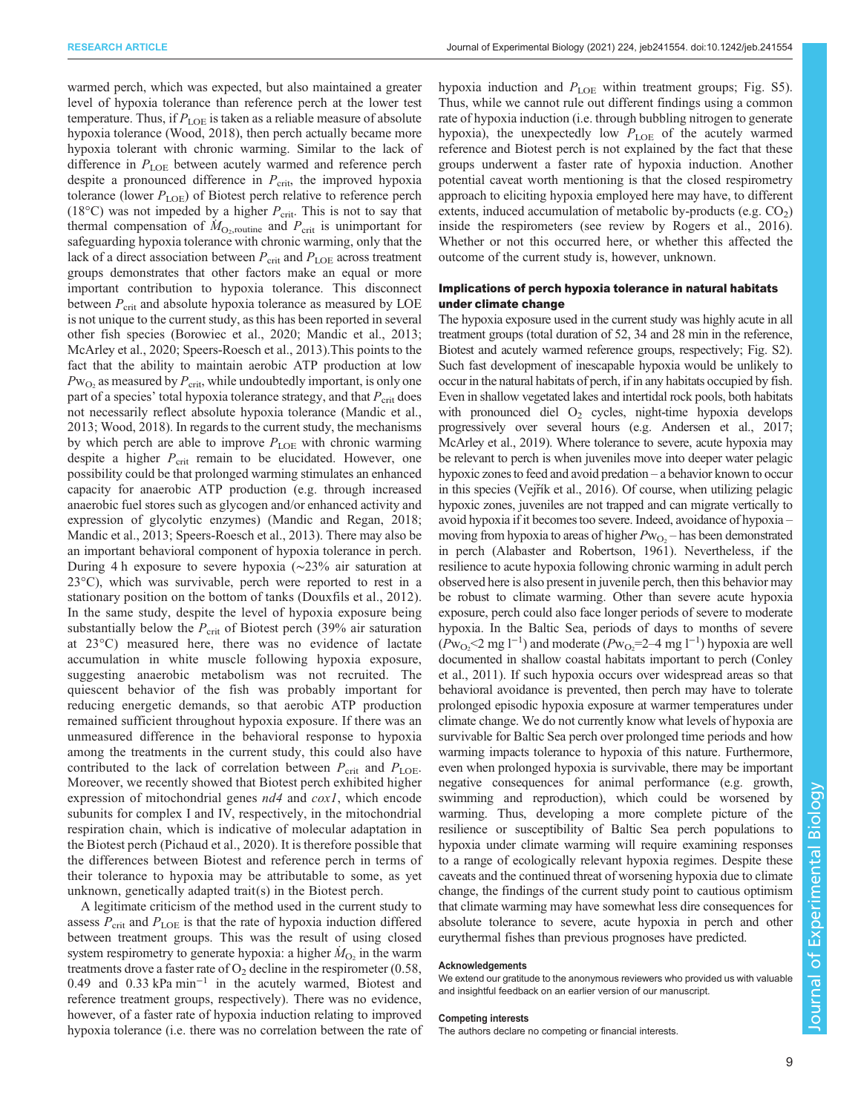warmed perch, which was expected, but also maintained a greater level of hypoxia tolerance than reference perch at the lower test temperature. Thus, if  $P_{\text{LOE}}$  is taken as a reliable measure of absolute hypoxia tolerance ([Wood, 2018](#page-10-0)), then perch actually became more hypoxia tolerant with chronic warming. Similar to the lack of difference in  $P_{\text{LOE}}$  between acutely warmed and reference perch despite a pronounced difference in  $P_{\text{crit}}$ , the improved hypoxia tolerance (lower  $P_{\text{LOE}}$ ) of Biotest perch relative to reference perch (18 $^{\circ}$ C) was not impeded by a higher  $P_{\text{crit}}$ . This is not to say that thermal compensation of  $\dot{M}_{\text{O}_2,\text{routine}}$  and  $P_{\text{crit}}$  is unimportant for safeguarding hypoxia tolerance with chronic warming, only that the lack of a direct association between  $P_{\rm crit}$  and  $P_{\rm LOE}$  across treatment groups demonstrates that other factors make an equal or more important contribution to hypoxia tolerance. This disconnect between  $P_{\text{crit}}$  and absolute hypoxia tolerance as measured by LOE is not unique to the current study, as this has been reported in several other fish species ([Borowiec et al., 2020](#page-9-0); [Mandic et al., 2013](#page-10-0); [McArley et al., 2020](#page-10-0); [Speers-Roesch et al., 2013\)](#page-10-0).This points to the fact that the ability to maintain aerobic ATP production at low  $Pw_{\text{O}_2}$  as measured by  $P_{\text{crit}}$ , while undoubtedly important, is only one part of a species' total hypoxia tolerance strategy, and that  $P_{\rm crit}$  does not necessarily reflect absolute hypoxia tolerance ([Mandic et al.,](#page-10-0) [2013](#page-10-0); [Wood, 2018\)](#page-10-0). In regards to the current study, the mechanisms by which perch are able to improve  $P_{\text{LOE}}$  with chronic warming despite a higher  $P_{\text{crit}}$  remain to be elucidated. However, one possibility could be that prolonged warming stimulates an enhanced capacity for anaerobic ATP production (e.g. through increased anaerobic fuel stores such as glycogen and/or enhanced activity and expression of glycolytic enzymes) ([Mandic and Regan, 2018](#page-10-0); [Mandic et al., 2013](#page-10-0); [Speers-Roesch et al., 2013\)](#page-10-0). There may also be an important behavioral component of hypoxia tolerance in perch. During 4 h exposure to severe hypoxia (∼23% air saturation at 23°C), which was survivable, perch were reported to rest in a stationary position on the bottom of tanks ([Douxfils et al., 2012](#page-9-0)). In the same study, despite the level of hypoxia exposure being substantially below the  $P_{\text{crit}}$  of Biotest perch (39% air saturation at 23°C) measured here, there was no evidence of lactate accumulation in white muscle following hypoxia exposure, suggesting anaerobic metabolism was not recruited. The quiescent behavior of the fish was probably important for reducing energetic demands, so that aerobic ATP production remained sufficient throughout hypoxia exposure. If there was an unmeasured difference in the behavioral response to hypoxia among the treatments in the current study, this could also have contributed to the lack of correlation between  $P_{\text{crit}}$  and  $P_{\text{LOE}}$ . Moreover, we recently showed that Biotest perch exhibited higher expression of mitochondrial genes *nd4* and *cox1*, which encode subunits for complex I and IV, respectively, in the mitochondrial respiration chain, which is indicative of molecular adaptation in the Biotest perch [\(Pichaud et al., 2020](#page-10-0)). It is therefore possible that the differences between Biotest and reference perch in terms of their tolerance to hypoxia may be attributable to some, as yet unknown, genetically adapted trait(s) in the Biotest perch.

A legitimate criticism of the method used in the current study to assess  $P_{\text{crit}}$  and  $P_{\text{LOE}}$  is that the rate of hypoxia induction differed between treatment groups. This was the result of using closed system respirometry to generate hypoxia: a higher  $\dot{M}_{O_2}$  in the warm treatments drove a faster rate of  $O_2$  decline in the respirometer (0.58, 0.49 and 0.33 kPa min−<sup>1</sup> in the acutely warmed, Biotest and reference treatment groups, respectively). There was no evidence, however, of a faster rate of hypoxia induction relating to improved hypoxia tolerance (i.e. there was no correlation between the rate of hypoxia induction and  $P_{\text{LOE}}$  within treatment groups; [Fig. S5\)](http://jeb.biologists.org/lookup/doi/10.1242/jeb.241554.supplemental). Thus, while we cannot rule out different findings using a common rate of hypoxia induction (i.e. through bubbling nitrogen to generate hypoxia), the unexpectedly low  $P_{\text{LOE}}$  of the acutely warmed reference and Biotest perch is not explained by the fact that these groups underwent a faster rate of hypoxia induction. Another potential caveat worth mentioning is that the closed respirometry approach to eliciting hypoxia employed here may have, to different extents, induced accumulation of metabolic by-products (e.g.  $CO<sub>2</sub>$ ) inside the respirometers (see review by [Rogers et al., 2016\).](#page-10-0) Whether or not this occurred here, or whether this affected the outcome of the current study is, however, unknown.

# Implications of perch hypoxia tolerance in natural habitats under climate change

The hypoxia exposure used in the current study was highly acute in all treatment groups (total duration of 52, 34 and 28 min in the reference, Biotest and acutely warmed reference groups, respectively; [Fig. S2\)](http://jeb.biologists.org/lookup/doi/10.1242/jeb.241554.supplemental). Such fast development of inescapable hypoxia would be unlikely to occur in the natural habitats of perch, if in any habitats occupied by fish. Even in shallow vegetated lakes and intertidal rock pools, both habitats with pronounced diel  $O<sub>2</sub>$  cycles, night-time hypoxia develops progressively over several hours (e.g. [Andersen et al., 2017](#page-9-0); [McArley et al., 2019\)](#page-10-0). Where tolerance to severe, acute hypoxia may be relevant to perch is when juveniles move into deeper water pelagic hypoxic zones to feed and avoid predation – a behavior known to occur in this species (Vejřík et al., 2016). Of course, when utilizing pelagic hypoxic zones, juveniles are not trapped and can migrate vertically to avoid hypoxia if it becomes too severe. Indeed, avoidance of hypoxia – moving from hypoxia to areas of higher  $Pw_{O<sub>2</sub>}$  – has been demonstrated in perch [\(Alabaster and Robertson, 1961](#page-9-0)). Nevertheless, if the resilience to acute hypoxia following chronic warming in adult perch observed here is also present in juvenile perch, then this behavior may be robust to climate warming. Other than severe acute hypoxia exposure, perch could also face longer periods of severe to moderate hypoxia. In the Baltic Sea, periods of days to months of severe  $(Pw_{O_2}$ <2 mg l<sup>-1</sup>) and moderate  $(Pw_{O_2} = 2-4$  mg l<sup>-1</sup>) hypoxia are well documented in shallow coastal habitats important to perch ([Conley](#page-9-0) [et al., 2011\)](#page-9-0). If such hypoxia occurs over widespread areas so that behavioral avoidance is prevented, then perch may have to tolerate prolonged episodic hypoxia exposure at warmer temperatures under climate change. We do not currently know what levels of hypoxia are survivable for Baltic Sea perch over prolonged time periods and how warming impacts tolerance to hypoxia of this nature. Furthermore, even when prolonged hypoxia is survivable, there may be important negative consequences for animal performance (e.g. growth, swimming and reproduction), which could be worsened by warming. Thus, developing a more complete picture of the resilience or susceptibility of Baltic Sea perch populations to hypoxia under climate warming will require examining responses to a range of ecologically relevant hypoxia regimes. Despite these caveats and the continued threat of worsening hypoxia due to climate change, the findings of the current study point to cautious optimism that climate warming may have somewhat less dire consequences for absolute tolerance to severe, acute hypoxia in perch and other eurythermal fishes than previous prognoses have predicted.

## Acknowledgements

We extend our gratitude to the anonymous reviewers who provided us with valuable and insightful feedback on an earlier version of our manuscript.

#### Competing interests

The authors declare no competing or financial interests.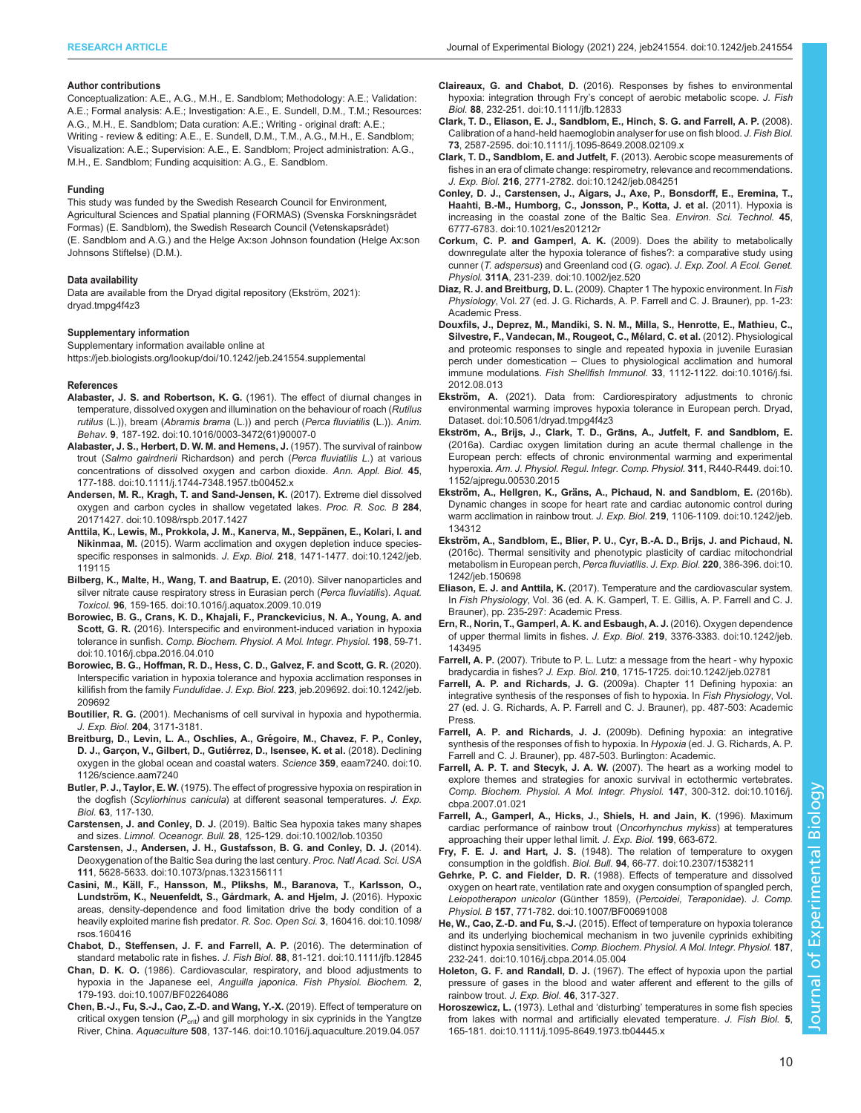## <span id="page-9-0"></span>Author contributions

Conceptualization: A.E., A.G., M.H., E. Sandblom; Methodology: A.E.; Validation: A.E.; Formal analysis: A.E.; Investigation: A.E., E. Sundell, D.M., T.M.; Resources: A.G., M.H., E. Sandblom; Data curation: A.E.; Writing - original draft: A.E.; Writing - review & editing: A.E., E. Sundell, D.M., T.M., A.G., M.H., E. Sandblom; Visualization: A.E.; Supervision: A.E., E. Sandblom; Project administration: A.G., M.H., E. Sandblom; Funding acquisition: A.G., E. Sandblom.

## Funding

This study was funded by the Swedish Research Council for Environment, Agricultural Sciences and Spatial planning (FORMAS) (Svenska Forskningsrådet Formas) (E. Sandblom), the Swedish Research Council (Vetenskapsrådet) (E. Sandblom and A.G.) and the Helge Ax:son Johnson foundation (Helge Ax:son Johnsons Stiftelse) (D.M.).

## Data availability

Data are available from the Dryad digital repository (Ekström, 2021): [dryad.tmpg4f4z3](https://doi.org/10.5061/dryad.tmpg4f4z3)

## Supplementary information

Supplementary information available online at <https://jeb.biologists.org/lookup/doi/10.1242/jeb.241554.supplemental>

#### References

- Alabaster, J. S. and Robertson, K. G. [\(1961\). The effect of diurnal changes in](https://doi.org/10.1016/0003-3472(61)90007-0) [temperature, dissolved oxygen and illumination on the behaviour of roach \(](https://doi.org/10.1016/0003-3472(61)90007-0)Rutilus rutilus (L.)), bream (Abramis brama [\(L.\)\) and perch \(](https://doi.org/10.1016/0003-3472(61)90007-0)Perca fluviatilis (L.)). Anim. Behav. 9[, 187-192. doi:10.1016/0003-3472\(61\)90007-0](https://doi.org/10.1016/0003-3472(61)90007-0)
- [Alabaster, J. S., Herbert, D. W. M. and Hemens, J.](https://doi.org/10.1111/j.1744-7348.1957.tb00452.x) (1957). The survival of rainbow trout (Salmo gairdnerii [Richardson\) and perch \(](https://doi.org/10.1111/j.1744-7348.1957.tb00452.x)Perca fluviatilis L.) at various [concentrations of dissolved oxygen and carbon dioxide.](https://doi.org/10.1111/j.1744-7348.1957.tb00452.x) Ann. Appl. Biol. 45, [177-188. doi:10.1111/j.1744-7348.1957.tb00452.x](https://doi.org/10.1111/j.1744-7348.1957.tb00452.x)
- [Andersen, M. R., Kragh, T. and Sand-Jensen, K.](https://doi.org/10.1098/rspb.2017.1427) (2017). Extreme diel dissolved [oxygen and carbon cycles in shallow vegetated lakes.](https://doi.org/10.1098/rspb.2017.1427) Proc. R. Soc. B 284, [20171427. doi:10.1098/rspb.2017.1427](https://doi.org/10.1098/rspb.2017.1427)
- Anttila, K., Lewis, M., Prokkola, J. M., Kanerva, M., Seppänen, E., Kolari, I. and Nikinmaa, M. [\(2015\). Warm acclimation and oxygen depletion induce species](https://doi.org/10.1242/jeb.119115)[specific responses in salmonids.](https://doi.org/10.1242/jeb.119115) J. Exp. Biol. 218, 1471-1477. doi:10.1242/jeb. [119115](https://doi.org/10.1242/jeb.119115)
- [Bilberg, K., Malte, H., Wang, T. and Baatrup, E.](https://doi.org/10.1016/j.aquatox.2009.10.019) (2010). Silver nanoparticles and [silver nitrate cause respiratory stress in Eurasian perch \(](https://doi.org/10.1016/j.aquatox.2009.10.019)Perca fluviatilis). Aquat. Toxicol. 96[, 159-165. doi:10.1016/j.aquatox.2009.10.019](https://doi.org/10.1016/j.aquatox.2009.10.019)
- [Borowiec, B. G., Crans, K. D., Khajali, F., Pranckevicius, N. A., Young, A. and](https://doi.org/10.1016/j.cbpa.2016.04.010) Scott, G. R. [\(2016\). Interspecific and environment-induced variation in hypoxia](https://doi.org/10.1016/j.cbpa.2016.04.010) tolerance in sunfish. [Comp. Biochem. Physiol. A Mol. Integr. Physiol.](https://doi.org/10.1016/j.cbpa.2016.04.010) 198, 59-71. [doi:10.1016/j.cbpa.2016.04.010](https://doi.org/10.1016/j.cbpa.2016.04.010)
- [Borowiec, B. G., Hoffman, R. D., Hess, C. D., Galvez, F. and Scott, G. R.](https://doi.org/10.1242/jeb.209692) (2020). [Interspecific variation in hypoxia tolerance and hypoxia acclimation responses in](https://doi.org/10.1242/jeb.209692) killifish from the family Fundulidae. J. Exp. Biol. 223[, jeb.209692. doi:10.1242/jeb.](https://doi.org/10.1242/jeb.209692) [209692](https://doi.org/10.1242/jeb.209692)
- Boutilier, R. G. (2001). Mechanisms of cell survival in hypoxia and hypothermia. J. Exp. Biol. 204, 3171-3181.
- Breitburg, D., Levin, L. A., Oschlies, A., Grégoire, M., Chavez, F. P., Conley, D. J., Garçon, V., Gilbert, D., Gutiérrez, D., Isensee, K. et al. (2018). Declining [oxygen in the global ocean and coastal waters.](https://doi.org/10.1126/science.aam7240) Science 359, eaam7240. doi:10. [1126/science.aam7240](https://doi.org/10.1126/science.aam7240)
- Butler, P. J., Taylor, E. W. (1975). The effect of progressive hypoxia on respiration in the dogfish (Scyliorhinus canicula) at different seasonal temperatures. J. Exp. Biol. 63, 117-130.
- Carstensen, J. and Conley, D. J. [\(2019\). Baltic Sea hypoxia takes many shapes](https://doi.org/10.1002/lob.10350) and sizes. Limnol. Oceanogr. Bull. 28[, 125-129. doi:10.1002/lob.10350](https://doi.org/10.1002/lob.10350)
- [Carstensen, J., Andersen, J. H., Gustafsson, B. G. and Conley, D. J.](https://doi.org/10.1073/pnas.1323156111) (2014). [Deoxygenation of the Baltic Sea during the last century.](https://doi.org/10.1073/pnas.1323156111) Proc. Natl Acad. Sci. USA 111[, 5628-5633. doi:10.1073/pnas.1323156111](https://doi.org/10.1073/pnas.1323156111)
- Casini, M., Kä[ll, F., Hansson, M., Plikshs, M., Baranova, T., Karlsson, O.,](https://doi.org/10.1098/rsos.160416) Lundströ[m, K., Neuenfeldt, S., Gårdmark, A. and Hjelm, J.](https://doi.org/10.1098/rsos.160416) (2016). Hypoxic [areas, density-dependence and food limitation drive the body condition of a](https://doi.org/10.1098/rsos.160416) [heavily exploited marine fish predator.](https://doi.org/10.1098/rsos.160416) R. Soc. Open Sci. 3, 160416. doi:10.1098/ [rsos.160416](https://doi.org/10.1098/rsos.160416)
- [Chabot, D., Steffensen, J. F. and Farrell, A. P.](https://doi.org/10.1111/jfb.12845) (2016). The determination of [standard metabolic rate in fishes.](https://doi.org/10.1111/jfb.12845) J. Fish Biol. 88, 81-121. doi:10.1111/jfb.12845
- Chan, D. K. O. [\(1986\). Cardiovascular, respiratory, and blood adjustments to](https://doi.org/10.1007/BF02264086) [hypoxia in the Japanese eel,](https://doi.org/10.1007/BF02264086) Anguilla japonica. Fish Physiol. Biochem. 2, [179-193. doi:10.1007/BF02264086](https://doi.org/10.1007/BF02264086)
- [Chen, B.-J., Fu, S.-J., Cao, Z.-D. and Wang, Y.-X.](https://doi.org/10.1016/j.aquaculture.2019.04.057) (2019). Effect of temperature on critical oxygen tension  $(P_{\text{crit}})$  and gill morphology in six cyprinids in the Yangtze River, China. Aquaculture 508[, 137-146. doi:10.1016/j.aquaculture.2019.04.057](https://doi.org/10.1016/j.aquaculture.2019.04.057)
- Claireaux, G. and Chabot, D. [\(2016\). Responses by fishes to environmental](https://doi.org/10.1111/jfb.12833) hypoxia: integration through Fry'[s concept of aerobic metabolic scope.](https://doi.org/10.1111/jfb.12833) J. Fish Biol. 88[, 232-251. doi:10.1111/jfb.12833](https://doi.org/10.1111/jfb.12833)
- [Clark, T. D., Eliason, E. J., Sandblom, E., Hinch, S. G. and Farrell, A. P.](https://doi.org/10.1111/j.1095-8649.2008.02109.x) (2008). [Calibration of a hand-held haemoglobin analyser for use on fish blood.](https://doi.org/10.1111/j.1095-8649.2008.02109.x) J. Fish Biol. 73[, 2587-2595. doi:10.1111/j.1095-8649.2008.02109.x](https://doi.org/10.1111/j.1095-8649.2008.02109.x)
- [Clark, T. D., Sandblom, E. and Jutfelt, F.](https://doi.org/10.1242/jeb.084251) (2013). Aerobic scope measurements of [fishes in an era of climate change: respirometry, relevance and recommendations.](https://doi.org/10.1242/jeb.084251) J. Exp. Biol. 216[, 2771-2782. doi:10.1242/jeb.084251](https://doi.org/10.1242/jeb.084251)
- [Conley, D. J., Carstensen, J., Aigars, J., Axe, P., Bonsdorff, E., Eremina, T.,](https://doi.org/10.1021/es201212r) [Haahti, B.-M., Humborg, C., Jonsson, P., Kotta, J. et al.](https://doi.org/10.1021/es201212r) (2011). Hypoxia is [increasing in the coastal zone of the Baltic Sea.](https://doi.org/10.1021/es201212r) Environ. Sci. Technol. 45, [6777-6783. doi:10.1021/es201212r](https://doi.org/10.1021/es201212r)
- Corkum, C. P. and Gamperl, A. K. [\(2009\). Does the ability to metabolically](https://doi.org/10.1002/jez.520) [downregulate alter the hypoxia tolerance of fishes?: a comparative study using](https://doi.org/10.1002/jez.520) cunner (T. adspersus) and Greenland cod (G. ogac). [J. Exp. Zool. A Ecol. Genet.](https://doi.org/10.1002/jez.520) Physiol. 311A[, 231-239. doi:10.1002/jez.520](https://doi.org/10.1002/jez.520)
- Diaz, R. J. and Breitburg, D. L. (2009). Chapter 1 The hypoxic environment. In Fish Physiology, Vol. 27 (ed. J. G. Richards, A. P. Farrell and C. J. Brauner), pp. 1-23: Academic Press.
- [Douxfils, J., Deprez, M., Mandiki, S. N. M., Milla, S., Henrotte, E., Mathieu, C.,](https://doi.org/10.1016/j.fsi.2012.08.013) Silvestre, F., Vandecan, M., Rougeot, C., Mélard, C. et al. (2012). Physiological [and proteomic responses to single and repeated hypoxia in juvenile Eurasian](https://doi.org/10.1016/j.fsi.2012.08.013) perch under domestication – [Clues to physiological acclimation and humoral](https://doi.org/10.1016/j.fsi.2012.08.013) immune modulations. Fish Shellfish Immunol. 33[, 1112-1122. doi:10.1016/j.fsi.](https://doi.org/10.1016/j.fsi.2012.08.013) [2012.08.013](https://doi.org/10.1016/j.fsi.2012.08.013)
- Ekström, A. [\(2021\). Data from: Cardiorespiratory adjustments to chronic](http://dx.doi.org/10.5061/dryad.tmpg4f4z3) [environmental warming improves hypoxia tolerance in European perch. Dryad,](http://dx.doi.org/10.5061/dryad.tmpg4f4z3) [Dataset. doi:10.5061/dryad.tmpg4f4z3](http://dx.doi.org/10.5061/dryad.tmpg4f4z3)
- Ekström, A., Brijs, J., Clark, T. D., Grä[ns, A., Jutfelt, F. and Sandblom, E.](https://doi.org/10.1152/ajpregu.00530.2015) [\(2016a\). Cardiac oxygen limitation during an acute thermal challenge in the](https://doi.org/10.1152/ajpregu.00530.2015) [European perch: effects of chronic environmental warming and experimental](https://doi.org/10.1152/ajpregu.00530.2015) hyperoxia. [Am. J. Physiol. Regul. Integr. Comp. Physiol.](https://doi.org/10.1152/ajpregu.00530.2015) 311, R440-R449. doi:10. [1152/ajpregu.00530.2015](https://doi.org/10.1152/ajpregu.00530.2015)
- Ekström, A., Hellgren, K., Grä[ns, A., Pichaud, N. and Sandblom, E.](https://doi.org/10.1242/jeb.134312) (2016b). [Dynamic changes in scope for heart rate and cardiac autonomic control during](https://doi.org/10.1242/jeb.134312) [warm acclimation in rainbow trout.](https://doi.org/10.1242/jeb.134312) J. Exp. Biol. 219, 1106-1109. doi:10.1242/jeb. [134312](https://doi.org/10.1242/jeb.134312)
- Ekströ[m, A., Sandblom, E., Blier, P. U., Cyr, B.-A. D., Brijs, J. and Pichaud, N.](https://doi.org/10.1242/jeb.150698) [\(2016c\). Thermal sensitivity and phenotypic plasticity of cardiac mitochondrial](https://doi.org/10.1242/jeb.150698) [metabolism in European perch,](https://doi.org/10.1242/jeb.150698) Perca fluviatilis. J. Exp. Biol. 220, 386-396. doi:10. [1242/jeb.150698](https://doi.org/10.1242/jeb.150698)
- Eliason, E. J. and Anttila, K. (2017). Temperature and the cardiovascular system. In Fish Physiology, Vol. 36 (ed. A. K. Gamperl, T. E. Gillis, A. P. Farrell and C. J. Brauner), pp. 235-297: Academic Press.
- [Ern, R., Norin, T., Gamperl, A. K. and Esbaugh, A. J.](https://doi.org/10.1242/jeb.143495) (2016). Oxygen dependence [of upper thermal limits in fishes.](https://doi.org/10.1242/jeb.143495) J. Exp. Biol. 219, 3376-3383. doi:10.1242/jeb. [143495](https://doi.org/10.1242/jeb.143495)
- Farrell, A. P. [\(2007\). Tribute to P. L. Lutz: a message from the heart why hypoxic](https://doi.org/10.1242/jeb.02781) bradycardia in fishes? J. Exp. Biol. 210[, 1715-1725. doi:10.1242/jeb.02781](https://doi.org/10.1242/jeb.02781)
- Farrell, A. P. and Richards, J. G. (2009a). Chapter 11 Defining hypoxia: an integrative synthesis of the responses of fish to hypoxia. In Fish Physiology, Vol. 27 (ed. J. G. Richards, A. P. Farrell and C. J. Brauner), pp. 487-503: Academic Press.
- Farrell, A. P. and Richards, J. J. (2009b). Defining hypoxia: an integrative synthesis of the responses of fish to hypoxia. In Hypoxia (ed. J. G. Richards, A. P. Farrell and C. J. Brauner), pp. 487-503. Burlington: Academic.
- Farrell, A. P. T. and Stecyk, J. A. W. [\(2007\). The heart as a working model to](https://doi.org/10.1016/j.cbpa.2007.01.021) [explore themes and strategies for anoxic survival in ectothermic vertebrates.](https://doi.org/10.1016/j.cbpa.2007.01.021) [Comp. Biochem. Physiol. A Mol. Integr. Physiol.](https://doi.org/10.1016/j.cbpa.2007.01.021) 147, 300-312. doi:10.1016/j. [cbpa.2007.01.021](https://doi.org/10.1016/j.cbpa.2007.01.021)
- Farrell, A., Gamperl, A., Hicks, J., Shiels, H. and Jain, K. (1996). Maximum cardiac performance of rainbow trout (Oncorhynchus mykiss) at temperatures approaching their upper lethal limit. J. Exp. Biol. 199, 663-672.
- Fry, F. E. J. and Hart, J. S. [\(1948\). The relation of temperature to oxygen](https://doi.org/10.2307/1538211) consumption in the goldfish. Biol. Bull. 94[, 66-77. doi:10.2307/1538211](https://doi.org/10.2307/1538211)
- Gehrke, P. C. and Fielder, D. R. [\(1988\). Effects of temperature and dissolved](https://doi.org/10.1007/BF00691008) [oxygen on heart rate, ventilation rate and oxygen consumption of spangled perch,](https://doi.org/10.1007/BF00691008) [Leiopotherapon unicolor](https://doi.org/10.1007/BF00691008) (Günther 1859), (Percoidei, Teraponidae). J. Comp. Physiol. B 157[, 771-782. doi:10.1007/BF00691008](https://doi.org/10.1007/BF00691008)
- He, W., Cao, Z.-D. and Fu, S.-J. [\(2015\). Effect of temperature on hypoxia tolerance](https://doi.org/10.1016/j.cbpa.2014.05.004) [and its underlying biochemical mechanism in two juvenile cyprinids exhibiting](https://doi.org/10.1016/j.cbpa.2014.05.004) distinct hypoxia sensitivities. [Comp. Biochem. Physiol. A Mol. Integr. Physiol.](https://doi.org/10.1016/j.cbpa.2014.05.004) 187, [232-241. doi:10.1016/j.cbpa.2014.05.004](https://doi.org/10.1016/j.cbpa.2014.05.004)
- Holeton, G. F. and Randall, D. J. (1967). The effect of hypoxia upon the partial pressure of gases in the blood and water afferent and efferent to the gills of rainbow trout. J. Exp. Biol. 46, 317-327.
- Horoszewicz, L. (1973). Lethal and 'disturbing' [temperatures in some fish species](https://doi.org/10.1111/j.1095-8649.1973.tb04445.x) [from lakes with normal and artificially elevated temperature.](https://doi.org/10.1111/j.1095-8649.1973.tb04445.x) J. Fish Biol. 5, [165-181. doi:10.1111/j.1095-8649.1973.tb04445.x](https://doi.org/10.1111/j.1095-8649.1973.tb04445.x)